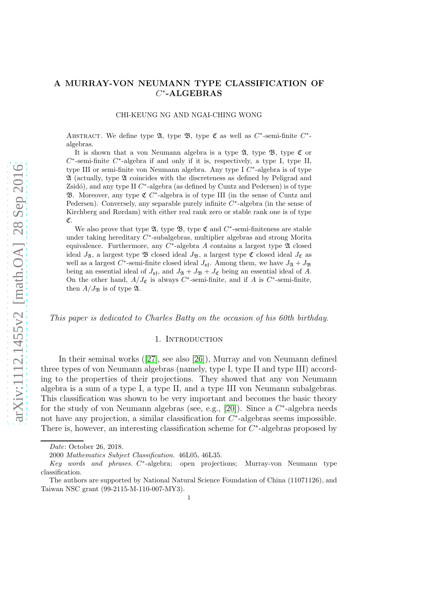# A MURRAY-VON NEUMANN TYPE CLASSIFICATION OF  $C^*$ -ALGEBRAS

CHI-KEUNG NG AND NGAI-CHING WONG

ABSTRACT. We define type  $\mathfrak{A}$ , type  $\mathfrak{B}$ , type  $\mathfrak{C}$  as well as  $C^*$ -semi-finite  $C^*$ algebras.

It is shown that a von Neumann algebra is a type  $\mathfrak{A}$ , type  $\mathfrak{B}$ , type  $\mathfrak{C}$  or  $C^*$ -semi-finite  $C^*$ -algebra if and only if it is, respectively, a type I, type II, type III or semi-finite von Neumann algebra. Any type I  $C^*$ -algebra is of type A (actually, type A coincides with the discreteness as defined by Peligrad and Zsidó), and any type II  $C^*$ -algebra (as defined by Cuntz and Pedersen) is of type **33.** Moreover, any type  $\mathfrak{C}$  C<sup>\*</sup>-algebra is of type III (in the sense of Cuntz and Pedersen). Conversely, any separable purely infinite  $C^*$ -algebra (in the sense of Kirchberg and Rørdam) with either real rank zero or stable rank one is of type C.

We also prove that type  $\mathfrak{A}$ , type  $\mathfrak{B}$ , type  $\mathfrak{C}$  and  $C^*$ -semi-finiteness are stable under taking hereditary  $C^*$ -subalgebras, multiplier algebras and strong Morita equivalence. Furthermore, any  $C^*$ -algebra A contains a largest type  $\mathfrak A$  closed ideal  $J_{\mathfrak{A}}$ , a largest type  $\mathfrak B$  closed ideal  $J_{\mathfrak B}$ , a largest type  $\mathfrak C$  closed ideal  $J_{\mathfrak C}$  as well as a largest  $C^*$ -semi-finite closed ideal  $J_{\mathfrak{s} \mathfrak{f}}$ . Among them, we have  $J_{\mathfrak{A}} + J_{\mathfrak{B}}$ being an essential ideal of  $J_{\mathfrak{s} \mathfrak{f}}$ , and  $J_{\mathfrak{A}} + J_{\mathfrak{B}} + J_{\mathfrak{C}}$  being an essential ideal of A. On the other hand,  $A/J_{\mathfrak{C}}$  is always  $C^*$ -semi-finite, and if A is  $C^*$ -semi-finite, then  $A/J_{\mathfrak{B}}$  is of type  $\mathfrak{A}$ .

*This paper is dedicated to Charles Batty on the occasion of his 60th birthday.*

#### 1. INTRODUCTION

In their seminal works([\[27\]](#page-26-0), see also [\[26\]](#page-26-1)), Murray and von Neumann defined three types of von Neumann algebras (namely, type I, type II and type III) according to the properties of their projections. They showed that any von Neumann algebra is a sum of a type I, a type II, and a type III von Neumann subalgebras. This classification was shown to be very important and becomes the basic theory for the study of von Neumann algebras (see, e.g., [\[20\]](#page-26-2)). Since a  $C^*$ -algebra needs not have any projection, a similar classification for  $C^*$ -algebras seems impossible. There is, however, an interesting classification scheme for  $C^*$ -algebras proposed by

*Date*: October 26, 2018.

<sup>2000</sup> *Mathematics Subject Classification.* 46L05, 46L35.

*Key words and phrases.* C ∗ -algebra; open projections; Murray-von Neumann type classification.

The authors are supported by National Natural Science Foundation of China (11071126), and Taiwan NSC grant (99-2115-M-110-007-MY3).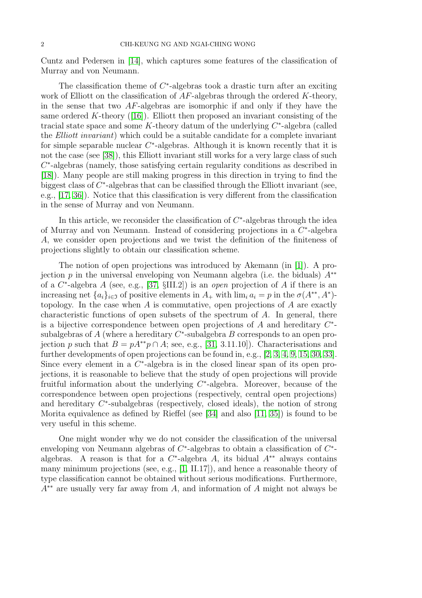Cuntz and Pedersen in [\[14\]](#page-26-3), which captures some features of the classification of Murray and von Neumann.

The classification theme of  $C^*$ -algebras took a drastic turn after an exciting work of Elliott on the classification of  $AF$ -algebras through the ordered  $K$ -theory, in the sense that two  $AF$ -algebras are isomorphic if and only if they have the sameordered K-theory  $(16)$ . Elliott then proposed an invariant consisting of the tracial state space and some  $K$ -theory datum of the underlying  $C^*$ -algebra (called the *Elliott invariant*) which could be a suitable candidate for a complete invariant for simple separable nuclear  $C^*$ -algebras. Although it is known recently that it is not the case (see [\[38\]](#page-27-0)), this Elliott invariant still works for a very large class of such  $C^*$ -algebras (namely, those satisfying certain regularity conditions as described in [\[18\]](#page-26-5)). Many people are still making progress in this direction in trying to find the biggest class of  $C^*$ -algebras that can be classified through the Elliott invariant (see, e.g., [\[17,](#page-26-6) [36\]](#page-27-1)). Notice that this classification is very different from the classification in the sense of Murray and von Neumann.

In this article, we reconsider the classification of  $C^*$ -algebras through the idea of Murray and von Neumann. Instead of considering projections in a  $C^*$ -algebra A, we consider open projections and we twist the definition of the finiteness of projections slightly to obtain our classification scheme.

The notion of open projections was introduced by Akemann (in [\[1\]](#page-25-0)). A projection p in the universal enveloping von Neumann algebra (i.e. the biduals)  $A^{**}$ of a C ∗ -algebra A (see, e.g., [\[37,](#page-27-2) §III.2]) is an *open* projection of A if there is an increasing net  $\{a_i\}_{i\in\mathfrak{I}}$  of positive elements in  $A_+$  with  $\lim_i a_i = p$  in the  $\sigma(A^{**}, A^*)$ topology. In the case when  $A$  is commutative, open projections of  $A$  are exactly characteristic functions of open subsets of the spectrum of  $A$ . In general, there is a bijective correspondence between open projections of  $A$  and hereditary  $C^*$ subalgebras of  $A$  (where a hereditary  $C^*$ -subalgebra  $B$  corresponds to an open projection p such that  $B = pA^{**}p \cap A$ ; see, e.g., [\[31,](#page-27-3) 3.11.10]). Characterisations and further developments of open projections can be found in, e.g., [\[2,](#page-25-1) [3,](#page-25-2) [4,](#page-26-7) [9,](#page-26-8) [15,](#page-26-9) [30,](#page-26-10) [33\]](#page-27-4). Since every element in a  $C^*$ -algebra is in the closed linear span of its open projections, it is reasonable to believe that the study of open projections will provide fruitful information about the underlying  $C^*$ -algebra. Moreover, because of the correspondence between open projections (respectively, central open projections) and hereditary  $C^*$ -subalgebras (respectively, closed ideals), the notion of strong Morita equivalence as defined by Rieffel (see [\[34\]](#page-27-5) and also [\[11,](#page-26-11) [35\]](#page-27-6)) is found to be very useful in this scheme.

One might wonder why we do not consider the classification of the universal enveloping von Neumann algebras of  $C^*$ -algebras to obtain a classification of  $C^*$ algebras. A reason is that for a  $C^*$ -algebra A, its bidual  $A^{**}$  always contains many minimum projections (see, e.g., [\[1,](#page-25-0) II.17]), and hence a reasonable theory of type classification cannot be obtained without serious modifications. Furthermore,  $A^{**}$  are usually very far away from A, and information of A might not always be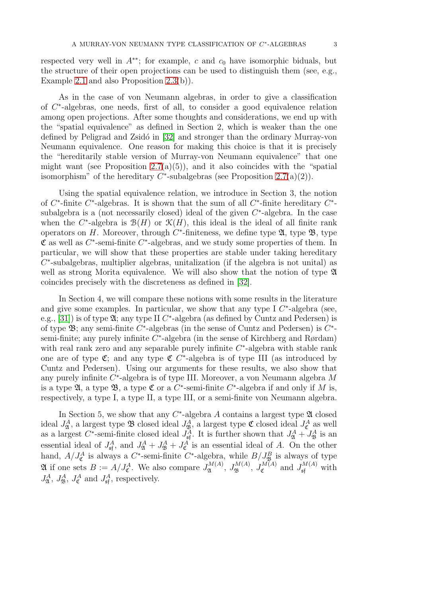respected very well in  $A^{**}$ ; for example, c and  $c_0$  have isomorphic biduals, but the structure of their open projections can be used to distinguish them (see, e.g., Example [2.1](#page-3-0) and also Proposition [2.3\(](#page-4-0)b)).

As in the case of von Neumann algebras, in order to give a classification of C ∗ -algebras, one needs, first of all, to consider a good equivalence relation among open projections. After some thoughts and considerations, we end up with the "spatial equivalence" as defined in Section 2, which is weaker than the one defined by Peligrad and Zsidó in [\[32\]](#page-27-7) and stronger than the ordinary Murray-von Neumann equivalence. One reason for making this choice is that it is precisely the "hereditarily stable version of Murray-von Neumann equivalence" that one might want (see Proposition [2.7\(](#page-6-0)a)(5)), and it also coincides with the "spatial isomorphism" of the hereditary  $C^*$ -subalgebras (see Proposition [2.7\(](#page-6-0)a)(2)).

Using the spatial equivalence relation, we introduce in Section 3, the notion of  $C^*$ -finite  $C^*$ -algebras. It is shown that the sum of all  $C^*$ -finite hereditary  $C^*$ subalgebra is a (not necessarily closed) ideal of the given  $C^*$ -algebra. In the case when the  $C^*$ -algebra is  $\mathcal{B}(H)$  or  $\mathcal{K}(H)$ , this ideal is the ideal of all finite rank operators on H. Moreover, through  $C^*$ -finiteness, we define type  $\mathfrak{A}$ , type  $\mathfrak{B}$ , type  $\mathfrak C$  as well as  $C^*$ -semi-finite  $C^*$ -algebras, and we study some properties of them. In particular, we will show that these properties are stable under taking hereditary  $C^*$ -subalgebras, multiplier algebras, unitalization (if the algebra is not unital) as well as strong Morita equivalence. We will also show that the notion of type  $\mathfrak A$ coincides precisely with the discreteness as defined in [\[32\]](#page-27-7).

In Section 4, we will compare these notions with some results in the literature and give some examples. In particular, we show that any type I  $C^*$ -algebra (see, e.g., [\[31\]](#page-27-3)) is of type  $\mathfrak{A}$ ; any type II  $C^*$ -algebra (as defined by Cuntz and Pedersen) is of type  $\mathfrak{B}$ ; any semi-finite C<sup>\*</sup>-algebras (in the sense of Cuntz and Pedersen) is C<sup>\*</sup>semi-finite; any purely infinite  $C^*$ -algebra (in the sense of Kirchberg and Rørdam) with real rank zero and any separable purely infinite  $C^*$ -algebra with stable rank one are of type  $\mathfrak{C}$ ; and any type  $\mathfrak{C}$  C<sup>\*</sup>-algebra is of type III (as introduced by Cuntz and Pedersen). Using our arguments for these results, we also show that any purely infinite  $C^*$ -algebra is of type III. Moreover, a von Neumann algebra  $M$ is a type  $\mathfrak{A}$ , a type  $\mathfrak{B}$ , a type  $\mathfrak{C}$  or a  $C^*$ -semi-finite  $C^*$ -algebra if and only if M is, respectively, a type I, a type II, a type III, or a semi-finite von Neumann algebra.

In Section 5, we show that any  $C^*$ -algebra A contains a largest type  $\mathfrak A$  closed ideal  $J^A_{\mathfrak{A}}$ , a largest type  $\mathfrak B$  closed ideal  $J^A_{\mathfrak{B}}$ , a largest type  $\mathfrak C$  closed ideal  $J^A_{\mathfrak{C}}$  as well as a largest C<sup>\*</sup>-semi-finite closed ideal  $J_{\mathfrak{s} \mathfrak{f}}^A$ . It is further shown that  $J_{\mathfrak{A}}^A + J_{\mathfrak{B}}^A$  is an essential ideal of  $J_{\mathfrak{s}f}^A$ , and  $J_{\mathfrak{A}}^A + J_{\mathfrak{B}}^A + J_{\mathfrak{C}}^A$  is an essential ideal of A. On the other hand,  $A/J_{\mathfrak{C}}^A$  is always a  $C^*$ -semi-finite  $C^*$ -algebra, while  $B/J_{\mathfrak{B}}^B$  is always of type  $\mathfrak A$  if one sets  $B := A/J_{\mathfrak C}^A$ . We also compare  $J_{\mathfrak A}^{M(A)}$  $J_{\mathfrak{A}}^{M(A)},~J_{\mathfrak{B}}^{M(A)},~J_{\mathfrak{C}}^{M(A)}$  $\mathcal{L}^{M(A)}$  and  $J^{M(A)}_{\mathfrak{sf}}$  with  $J_{\mathfrak{A}}^A$ ,  $J_{\mathfrak{B}}^A$ ,  $J_{\mathfrak{C}}^A$  and  $J_{\mathfrak{sf}}^A$ , respectively.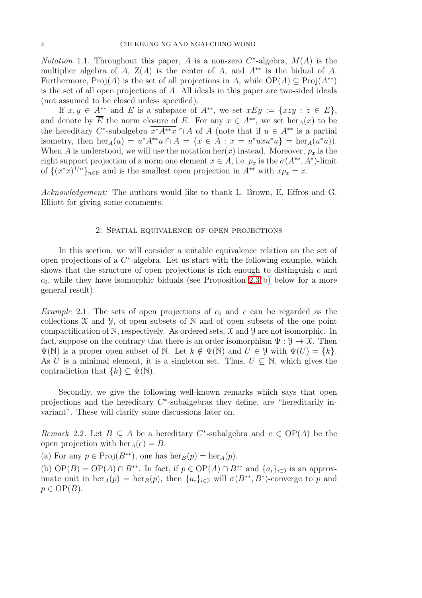*Notation* 1.1. Throughout this paper, A is a non-zero  $C^*$ -algebra,  $M(A)$  is the multiplier algebra of A,  $Z(A)$  is the center of A, and  $A^{**}$  is the bidual of A. Furthermore, Proj(A) is the set of all projections in A, while  $OP(A) \subseteq Proj(A^{**})$ is the set of all open projections of A. All ideals in this paper are two-sided ideals (not assumed to be closed unless specified).

If  $x, y \in A^{**}$  and E is a subspace of  $A^{**}$ , we set  $xEy := \{xzy : z \in E\},\$ and denote by  $\overline{E}$  the norm closure of E. For any  $x \in A^{**}$ , we set her  $_A(x)$  to be the hereditary C<sup>\*</sup>-subalgebra  $\overline{x^*A^{**}x} \cap A$  of A (note that if  $u \in A^{**}$  is a partial isometry, then  $\text{her}_A(u) = u^* A^{**} u \cap A = \{x \in A : x = u^* u x u^* u\} = \text{her}_A(u^* u)$ . When A is understood, we will use the notation her(x) instead. Moreover,  $p_x$  is the right support projection of a norm one element  $x \in A$ , i.e.  $p_x$  is the  $\sigma(A^{**}, A^*)$ -limit of  $\{(x^*x)^{1/n}\}_{n\in\mathbb{N}}$  and is the smallest open projection in  $A^{**}$  with  $xp_x=x$ .

*Acknowledgement:* The authors would like to thank L. Brown, E. Effros and G. Elliott for giving some comments.

#### 2. Spatial equivalence of open projections

In this section, we will consider a suitable equivalence relation on the set of open projections of a  $C^*$ -algebra. Let us start with the following example, which shows that the structure of open projections is rich enough to distinguish  $c$  and  $c_0$ , while they have isomorphic biduals (see Proposition [2.3\(](#page-4-0)b) below for a more general result).

<span id="page-3-0"></span>*Example* 2.1. The sets of open projections of  $c_0$  and c can be regarded as the collections  $\mathfrak X$  and  $\mathfrak Y$ , of open subsets of  $\mathbb N$  and of open subsets of the one point compactification of  $\mathbb N$ , respectively. As ordered sets,  $\mathfrak X$  and  $\mathfrak Y$  are not isomorphic. In fact, suppose on the contrary that there is an order isomorphism  $\Psi : \mathcal{Y} \to \mathcal{X}$ . Then  $\Psi(\mathbb{N})$  is a proper open subset of N. Let  $k \notin \Psi(\mathbb{N})$  and  $U \in \mathcal{Y}$  with  $\Psi(U) = \{k\}.$ As U is a minimal element, it is a singleton set. Thus,  $U \subseteq \mathbb{N}$ , which gives the contradiction that  $\{k\} \subseteq \Psi(\mathbb{N}).$ 

Secondly, we give the following well-known remarks which says that open projections and the hereditary  $C^*$ -subalgebras they define, are "hereditarily invariant". These will clarify some discussions later on.

<span id="page-3-1"></span>*Remark* 2.2. Let  $B \subseteq A$  be a hereditary C<sup>\*</sup>-subalgebra and  $e \in OP(A)$  be the open projection with  $\text{her}_A(e) = B$ .

(a) For any  $p \in \text{Proj}(B^{**})$ , one has  $\text{her}_B(p) = \text{her}_A(p)$ .

(b)  $\text{OP}(B) = \text{OP}(A) \cap B^{**}$ . In fact, if  $p \in \text{OP}(A) \cap B^{**}$  and  $\{a_i\}_{i \in \mathfrak{I}}$  is an approximate unit in  $her_A(p) = her_B(p)$ , then  $\{a_i\}_{i \in \mathfrak{I}}$  will  $\sigma(B^{**}, B^*)$ -converge to p and  $p \in \mathrm{OP}(B)$ .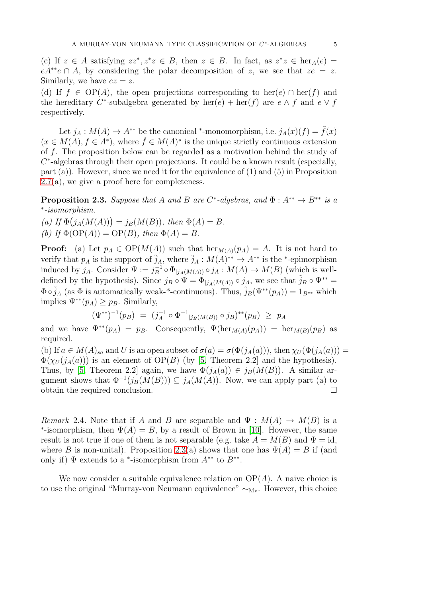(c) If  $z \in A$  satisfying  $zz^*, z^*z \in B$ , then  $z \in B$ . In fact, as  $z^*z \in \text{her}_A(e) =$  $eA^{**}e \cap A$ , by considering the polar decomposition of z, we see that  $ze = z$ . Similarly, we have  $ez = z$ .

(d) If  $f \in OP(A)$ , the open projections corresponding to her(e)  $\cap$  her(f) and the hereditary C<sup>\*</sup>-subalgebra generated by  $\text{her}(e) + \text{her}(f)$  are  $e \wedge f$  and  $e \vee f$ respectively.

Let  $j_A : M(A) \to A^{**}$  be the canonical \*-monomorphism, i.e.  $j_A(x)(f) = \tilde{f}(x)$  $(x \in M(A), f \in A^*)$ , where  $\tilde{f} \in M(A)^*$  is the unique strictly continuous extension of f. The proposition below can be regarded as a motivation behind the study of  $C^*$ -algebras through their open projections. It could be a known result (especially, part  $(a)$ ). However, since we need it for the equivalence of  $(1)$  and  $(5)$  in Proposition  $2.7(a)$  $2.7(a)$ , we give a proof here for completeness.

<span id="page-4-0"></span>**Proposition 2.3.** Suppose that A and B are  $C^*$ -algebras, and  $\Phi: A^{**} \to B^{**}$  is a ∗ *-isomorphism.*

*(a)* If  $\Phi(j_A(M(A))) = j_B(M(B))$ *, then*  $\Phi(A) = B$ *.* (b) If  $\Phi(\text{OP}(A)) = \text{OP}(B)$ *, then*  $\Phi(A) = B$ *.* 

**Proof:** (a) Let  $p_A \in OP(M(A))$  such that  $\text{her}_{M(A)}(p_A) = A$ . It is not hard to verify that  $p_A$  is the support of  $\tilde{j}_A$ , where  $\tilde{j}_A : M(A)^{**} \to A^{**}$  is the \*-epimorphism induced by  $j_A$ . Consider  $\Psi := j_B^{-1}$  $_B^{-1} \circ \Phi_{|j_A(M(A))} \circ j_A : M(A) \to M(B)$  (which is welldefined by the hypothesis). Since  $j_B \circ \Psi = \Phi_{j_A(M(A))} \circ j_A$ , we see that  $\tilde{j}_B \circ \Psi^{**} =$  $\Phi \circ \tilde{j}_A$  (as  $\Phi$  is automatically weak-\*-continuous). Thus,  $\tilde{j}_B(\Psi^{**}(p_A)) = 1_{B^{**}}$  which implies  $\Psi^{**}(p_A) \geq p_B$ . Similarly,

$$
(\Psi^{**})^{-1}(p_B) = (j_A^{-1} \circ \Phi^{-1}_{|j_B(M(B))} \circ j_B)^{**}(p_B) \ge p_A
$$

and we have  $\Psi^{**}(p_A) = p_B$ . Consequently,  $\Psi(\text{her}_{M(A)}(p_A)) = \text{her}_{M(B)}(p_B)$  as required.

(b) If  $a \in M(A)_{sa}$  and U is an open subset of  $\sigma(a) = \sigma(\Phi(j_A(a)))$ , then  $\chi_U(\Phi(j_A(a))) =$  $\Phi(\chi_U(j_A(a)))$  is an element of OP(B) (by [\[5,](#page-26-12) Theorem 2.2] and the hypothesis). Thus, by [\[5,](#page-26-12) Theorem 2.2] again, we have  $\Phi(j_A(a)) \in j_B(M(B))$ . A similar argument shows that  $\Phi^{-1}(j_B(M(B))) \subseteq j_A(M(A))$ . Now, we can apply part (a) to obtain the required conclusion.

*Remark* 2.4. Note that if A and B are separable and  $\Psi : M(A) \to M(B)$  is a \*-isomorphism, then  $\Psi(A) = B$ , by a result of Brown in [\[10\]](#page-26-13). However, the same result is not true if one of them is not separable (e.g. take  $A = M(B)$  and  $\Psi = id$ , where B is non-unital). Proposition [2.3\(](#page-4-0)a) shows that one has  $\Psi(A) = B$  if (and only if)  $\Psi$  extends to a \*-isomorphism from  $A^{**}$  to  $B^{**}$ .

We now consider a suitable equivalence relation on  $OP(A)$ . A naive choice is to use the original "Murray-von Neumann equivalence"  $\sim_{\text{Mv}}$ . However, this choice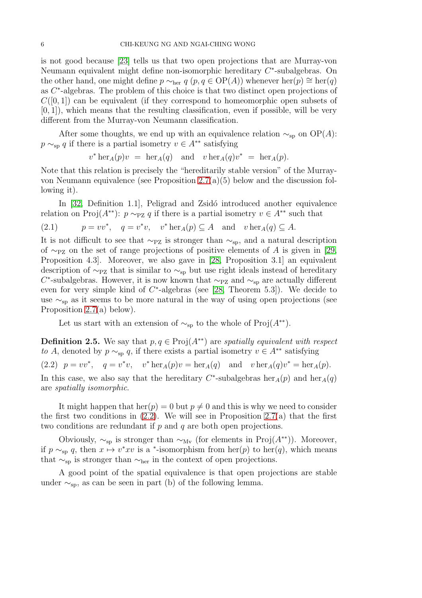is not good because [\[23\]](#page-26-14) tells us that two open projections that are Murray-von Neumann equivalent might define non-isomorphic hereditary  $C^*$ -subalgebras. On the other hand, one might define  $p \sim_{\text{her}} q$   $(p, q \in \text{OP}(A))$  whenever  $\text{her}(p) \cong \text{her}(q)$ as C<sup>\*</sup>-algebras. The problem of this choice is that two distinct open projections of  $C([0,1])$  can be equivalent (if they correspond to homeomorphic open subsets of  $[0, 1]$ , which means that the resulting classification, even if possible, will be very different from the Murray-von Neumann classification.

After some thoughts, we end up with an equivalence relation  $\sim_{\text{sp}}$  on OP(A):  $p \sim_{\text{sp}} q$  if there is a partial isometry  $v \in A^{**}$  satisfying

 $v^* \text{her}_A(p)v = \text{her}_A(q)$  and  $v \text{her}_A(q)v^* = \text{her}_A(p)$ .

Note that this relation is precisely the "hereditarily stable version" of the Murrayvon Neumann equivalence (see Proposition [2.7\(](#page-6-0)a)(5) below and the discussion following it).

In [\[32,](#page-27-7) Definition 1.1], Peligrad and Zsidó introduced another equivalence relation on Proj( $A^{**}$ ):  $p \sim_{\text{PZ}} q$  if there is a partial isometry  $v \in A^{**}$  such that

<span id="page-5-2"></span>(2.1) 
$$
p = vv^*
$$
,  $q = v^*v$ ,  $v^* \text{her}_A(p) \subseteq A$  and  $v \text{her}_A(q) \subseteq A$ .

It is not difficult to see that  $\sim_{\text{PZ}}$  is stronger than  $\sim_{\text{sp}}$ , and a natural description of ∼<sub>PZ</sub> on the set of range projections of positive elements of A is given in [\[29,](#page-26-15) Proposition 4.3]. Moreover, we also gave in [\[28,](#page-26-16) Proposition 3.1] an equivalent description of  $\sim_{\mathtt{PZ}}$  that is similar to  $\sim_{\mathtt{sp}}$  but use right ideals instead of hereditary  $C^*$ -subalgebras. However, it is now known that  $\sim_{\text{PZ}}$  and  $\sim_{\text{sp}}$  are actually different even for very simple kind of  $C^*$ -algebras (see [\[28,](#page-26-16) Theorem 5.3]). We decide to use  $\sim$ <sub>sp</sub> as it seems to be more natural in the way of using open projections (see Proposition [2.7\(](#page-6-0)a) below).

Let us start with an extension of  $\sim_{\text{sp}}$  to the whole of Proj( $A^{**}$ ).

<span id="page-5-1"></span><span id="page-5-0"></span>**Definition 2.5.** We say that  $p, q \in \text{Proj}(A^{**})$  are *spatially equivalent with respect to* A, denoted by  $p \sim_{\text{sp}} q$ , if there exists a partial isometry  $v \in A^{**}$  satisfying (2.2)  $p = vv^*$ ,  $q = v^*v$ ,  $v^* \text{her}_A(p)v = \text{her}_A(q)$  and  $v \text{her}_A(q)v^* = \text{her}_A(p)$ . In this case, we also say that the hereditary  $C^*$ -subalgebras  $her_A(p)$  and  $her_A(q)$ are *spatially isomorphic*.

It might happen that her(p) = 0 but  $p \neq 0$  and this is why we need to consider the first two conditions in  $(2.2)$ . We will see in Proposition [2.7\(](#page-6-0)a) that the first two conditions are redundant if  $p$  and  $q$  are both open projections.

Obviously,  $\sim$ <sub>sp</sub> is stronger than  $\sim$ <sub>Mv</sub> (for elements in Proj( $A^{**}$ )). Moreover, if  $p \sim_{\text{sp}} q$ , then  $x \mapsto v^*xv$  is a  $*$ -isomorphism from her(p) to her(q), which means that  $\sim$ <sub>sp</sub> is stronger than  $\sim$ <sub>her</sub> in the context of open projections.

A good point of the spatial equivalence is that open projections are stable under  $\sim_{\text{sp}}$ , as can be seen in part (b) of the following lemma.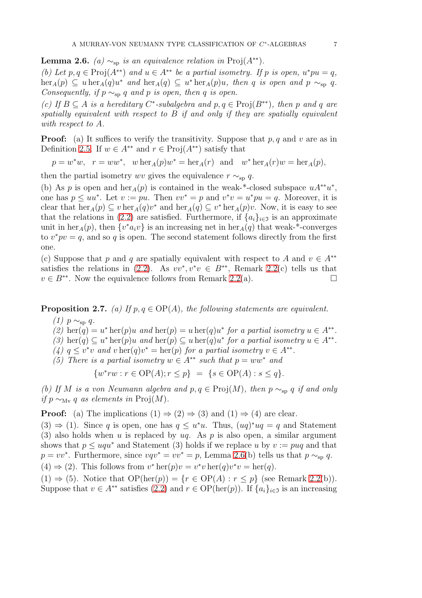<span id="page-6-1"></span>**Lemma 2.6.** *(a)*  $\sim_{\text{sp}}$  *is an equivalence relation in* Proj $(A^{**})$ *.* 

*(b)* Let  $p, q \in \text{Proj}(A^{**})$  and  $u \in A^{**}$  be a partial isometry. If p is open,  $u^*pu = q$ ,  $\text{her}_A(p) \subseteq u \text{ her}_A(q)u^*$  *and*  $\text{her}_A(q) \subseteq u^* \text{ her}_A(p)u$ *, then* q *is open and*  $p \sim_{\text{sp}} q$ *. Consequently, if*  $p \sim_{\text{sp}} q$  *and*  $p$  *is open, then*  $q$  *is open.* 

(c) If  $B \subseteq A$  *is a hereditary*  $C^*$ -subalgebra and  $p, q \in \text{Proj}(B^{**})$ , then p and q are *spatially equivalent with respect to* B *if and only if they are spatially equivalent with respect to* A*.*

**Proof:** (a) It suffices to verify the transitivity. Suppose that  $p, q$  and v are as in Definition [2.5.](#page-5-1) If  $w \in A^{**}$  and  $r \in \text{Proj}(A^{**})$  satisfy that

 $p = w^*w$ ,  $r = ww^*$ ,  $w \operatorname{her}_A(p)w^* = \operatorname{her}_A(r)$  and  $w^* \operatorname{her}_A(r)w = \operatorname{her}_A(p)$ ,

then the partial isometry wv gives the equivalence  $r \sim_{\text{sp}} q$ .

(b) As p is open and  $\text{her}_A(p)$  is contained in the weak-\*-closed subspace  $uA^{**}u^*$ , one has  $p \leq uu^*$ . Let  $v := pu$ . Then  $vv^* = p$  and  $v^*v = u^*pu = q$ . Moreover, it is clear that  $\text{her}_A(p) \subseteq v \text{ her}_A(q)v^*$  and  $\text{her}_A(q) \subseteq v^* \text{ her}_A(p)v$ . Now, it is easy to see that the relations in [\(2.2\)](#page-5-0) are satisfied. Furthermore, if  $\{a_i\}_{i\in\mathcal{I}}$  is an approximate unit in her<sub>A</sub>(p), then  $\{v^*a_iv\}$  is an increasing net in her<sub>A</sub>(q) that weak-\*-converges to  $v^*pv = q$ , and so q is open. The second statement follows directly from the first one.

(c) Suppose that p and q are spatially equivalent with respect to A and  $v \in A^{**}$ satisfies the relations in [\(2.2\)](#page-5-0). As  $vv^*, v^*v \in B^{**}$ , Remark [2.2\(](#page-3-1)c) tells us that  $v \in B^{**}$ . Now the equivalence follows from Remark [2.2\(](#page-3-1)a).

<span id="page-6-0"></span>**Proposition 2.7.** *(a)* If  $p, q \in \text{OP}(A)$ , the following statements are equivalent.

- $(1)$  *p* ∼<sub>sp</sub> *q*.
- (2) her(q) =  $u^*$  her(p)u and her(p) =  $u$  her(q) $u^*$  for a partial isometry  $u \in A^{**}$ .
- *(3)* her(q)  $\subseteq u^*$  her(p)u and her(p)  $\subseteq u$  her(q)u<sup>\*</sup> for a partial isometry  $u \in A^{**}$ .
- (4)  $q \leq v^*v$  and  $v \operatorname{her}(q)v^* = \operatorname{her}(p)$  *for a partial isometry*  $v \in A^{**}$ *.*
- *(5) There is a partial isometry*  $w \in A^{**}$  *such that*  $p = ww^*$  *and*

$$
\{ w^* r w : r \in \text{OP}(A); r \leq p \} \ = \ \{ s \in \text{OP}(A) : s \leq q \}.
$$

*(b)* If M is a von Neumann algebra and  $p, q ∈ \text{Proj}(M)$ , then  $p \sim_{\text{sp}} q$  if and only *if*  $p \sim_{M_V} q$  *as elements in* Proj(*M*).

**Proof:** (a) The implications  $(1) \Rightarrow (2) \Rightarrow (3)$  and  $(1) \Rightarrow (4)$  are clear.

 $(3) \Rightarrow (1)$ . Since q is open, one has  $q \leq u^*u$ . Thus,  $(uq)^*uq = q$  and Statement (3) also holds when u is replaced by  $uq$ . As p is also open, a similar argument shows that  $p \leq uqu^*$  and Statement (3) holds if we replace u by  $v := puq$  and that  $p = vv^*$ . Furthermore, since  $vqv^* = vv^* = p$ , Lemma [2.6\(](#page-6-1)b) tells us that  $p \sim_{\text{sp}} q$ .  $(4) \Rightarrow (2)$ . This follows from  $v^* \text{her}(p)v = v^* v \text{her}(q)v^* v = \text{her}(q)$ .

 $(1) \Rightarrow (5)$ . Notice that  $OP(\text{her}(p)) = \{r \in OP(A) : r \leq p\}$  (see Remark [2.2\(](#page-3-1)b)). Suppose that  $v \in A^{**}$  satisfies [\(2.2\)](#page-5-0) and  $r \in OP(\text{her}(p))$ . If  $\{a_i\}_{i \in \mathfrak{I}}$  is an increasing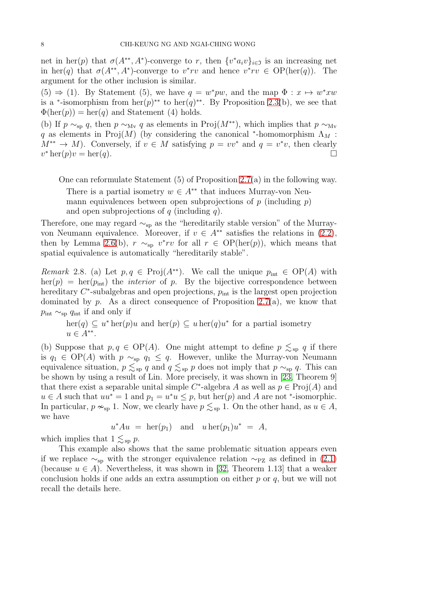net in her(p) that  $\sigma(A^{**}, A^*)$ -converge to r, then  $\{v^*a_iv\}_{i\in\mathfrak{I}}$  is an increasing net in her(q) that  $\sigma(A^{**}, A^*)$ -converge to  $v^*rv$  and hence  $v^*rv \in OP(\text{her}(q))$ . The argument for the other inclusion is similar.

 $(5) \Rightarrow (1)$ . By Statement (5), we have  $q = w^*pw$ , and the map  $\Phi : x \mapsto w^*xw$ is a <sup>\*</sup>-isomorphism from  $\text{her}(p)^{**}$  to  $\text{her}(q)^{**}$ . By Proposition [2.3\(](#page-4-0)b), we see that  $\Phi(\text{her}(p)) = \text{her}(q)$  and Statement (4) holds.

(b) If  $p \sim_{\text{sn}} q$ , then  $p \sim_{\text{M}_V} q$  as elements in Proj $(M^{**})$ , which implies that  $p \sim_{\text{M}_V} q$ q as elements in Proj $(M)$  (by considering the canonical \*-homomorphism  $\Lambda_M$ :  $M^{**} \to M$ ). Conversely, if  $v \in M$  satisfying  $p = vv^*$  and  $q = v^*v$ , then clearly  $v^* \operatorname{her}(p)v = \operatorname{her}(q).$ 

One can reformulate Statement (5) of Proposition [2.7\(](#page-6-0)a) in the following way.

There is a partial isometry  $w \in A^{**}$  that induces Murray-von Neumann equivalences between open subprojections of  $p$  (including  $p$ ) and open subprojections of q (including q).

Therefore, one may regard  $\sim_{\text{sp}}$  as the "hereditarily stable version" of the Murrayvon Neumann equivalence. Moreover, if  $v \in A^{**}$  satisfies the relations in [\(2.2\)](#page-5-0), then by Lemma [2.6\(](#page-6-1)b),  $r \sim_{\text{sp}} v^*rv$  for all  $r \in OP(\text{her}(p))$ , which means that spatial equivalence is automatically "hereditarily stable".

*Remark* 2.8. (a) Let  $p, q \in \text{Proj}(A^{**})$ . We call the unique  $p_{\text{int}} \in \text{OP}(A)$  with  $\text{her}(p) = \text{her}(p_{\text{int}})$  the *interior* of p. By the bijective correspondence between hereditary  $C^*$ -subalgebras and open projections,  $p_{\text{int}}$  is the largest open projection dominated by  $p$ . As a direct consequence of Proposition [2.7\(](#page-6-0)a), we know that  $p_{\text{int}} \sim_{\text{sp}} q_{\text{int}}$  if and only if

 $\text{her}(q) \subseteq u^* \text{her}(p)u$  and  $\text{her}(p) \subseteq u \text{her}(q)u^*$  for a partial isometry  $u \in A^{**}.$ 

(b) Suppose that  $p, q \in \text{OP}(A)$ . One might attempt to define  $p \leq_{\text{sp}} q$  if there is  $q_1$  ∈ OP(A) with  $p \sim_{\text{sp}} q_1 \leq q$ . However, unlike the Murray-von Neumann equivalence situation,  $p \leq_{sp} q$  and  $q \leq_{sp} p$  does not imply that  $p \sim_{sp} q$ . This can be shown by using a result of Lin. More precisely, it was shown in [\[23,](#page-26-14) Theorem 9] that there exist a separable unital simple C<sup>\*</sup>-algebra A as well as  $p \in \text{Proj}(A)$  and  $u \in A$  such that  $uu^* = 1$  and  $p_1 = u^*u \leq p$ , but her(p) and A are not \*-isomorphic. In particular,  $p \nsim_{\text{sp}} 1$ . Now, we clearly have  $p \lesssim_{\text{sp}} 1$ . On the other hand, as  $u \in A$ , we have

 $u^*Au = \operatorname{her}(p_1)$  and  $u \operatorname{her}(p_1)u^* = A$ ,

which implies that  $1 \leq_{\text{sp}} p$ .

This example also shows that the same problematic situation appears even if we replace  $\sim_{\text{sp}}$  with the stronger equivalence relation  $\sim_{\text{PZ}}$  as defined in [\(2.1\)](#page-5-2) (because  $u \in A$ ). Nevertheless, it was shown in [\[32,](#page-27-7) Theorem 1.13] that a weaker conclusion holds if one adds an extra assumption on either  $p$  or  $q$ , but we will not recall the details here.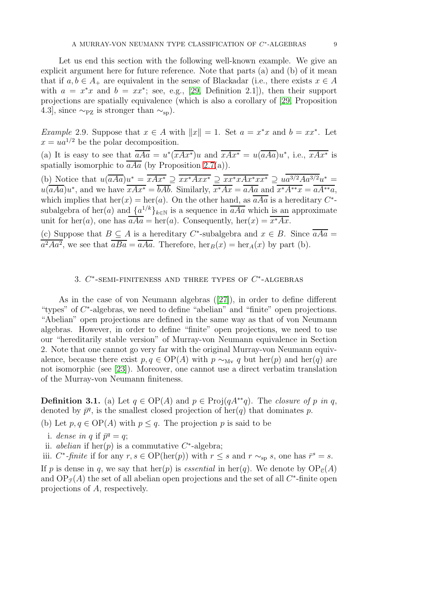Let us end this section with the following well-known example. We give an explicit argument here for future reference. Note that parts (a) and (b) of it mean that if  $a, b \in A_+$  are equivalent in the sense of Blackadar (i.e., there exists  $x \in A$ with  $a = x^*x$  and  $b = xx^*$ ; see, e.g., [\[29,](#page-26-15) Definition 2.1]), then their support projections are spatially equivalence (which is also a corollary of [\[29,](#page-26-15) Proposition 4.3], since  $\sim_{\text{PZ}}$  is stronger than  $\sim_{\text{sp}}$ ).

<span id="page-8-1"></span>*Example* 2.9. Suppose that  $x \in A$  with  $||x|| = 1$ . Set  $a = x^*x$  and  $b = xx^*$ . Let  $x = ua^{1/2}$  be the polar decomposition.

(a) It is easy to see that  $\overline{aAa} = u^*(\overline{xAx^*})u$  and  $\overline{xAx^*} = u(\overline{aAa})u^*$ , i.e.,  $\overline{xAx^*}$  is spatially isomorphic to  $\overline{aAa}$  (by Proposition [2.7\(](#page-6-0)a)).

(b) Notice that  $u(\overline{aAa})u^* = \overline{xAx^*} \supseteq \overline{xx^*Axx^*} \supseteq \overline{xx^*xAx^*xx^*} \supseteq \overline{ua^{3/2}Aa^{3/2}u^*} =$  $u(\overline{aAa})u^*$ , and we have  $\overline{xAx^*} = \overline{bAb}$ . Similarly,  $\overline{x^*Ax} = \overline{aAa}$  and  $\overline{x^*A^{**}x} = \overline{aA^{**}a}$ , which implies that  $\text{her}(x) = \text{her}(a)$ . On the other hand, as  $\overline{aAa}$  is a hereditary  $C^*$ subalgebra of her(*a*) and  $\{a^{1/k}\}_{k\in\mathbb{N}}$  is a sequence in  $\overline{aAa}$  which is an approximate unit for her(a), one has  $aAa = her(a)$ . Consequently,  $her(x) = x^*Ax$ .

(c) Suppose that  $B \subseteq A$  is a hereditary C<sup>\*</sup>-subalgebra and  $x \in B$ . Since  $\overline{aAa} =$  $a^2Aa^2$ , we see that  $\overline{aBa} = \overline{aAa}$ . Therefore,  $\operatorname{her}_B(x) = \operatorname{her}_A(x)$  by part (b).

## 3.  $C^*$ -SEMI-FINITENESS AND THREE TYPES OF  $C^*$ -ALGEBRAS

As in the case of von Neumann algebras([\[27\]](#page-26-0)), in order to define different "types" of C<sup>\*</sup>-algebras, we need to define "abelian" and "finite" open projections. "Abelian" open projections are defined in the same way as that of von Neumann algebras. However, in order to define "finite" open projections, we need to use our "hereditarily stable version" of Murray-von Neumann equivalence in Section 2. Note that one cannot go very far with the original Murray-von Neumann equivalence, because there exist  $p, q \in OP(A)$  with  $p \sim_{M_V} q$  but her(p) and her(q) are not isomorphic (see [\[23\]](#page-26-14)). Moreover, one cannot use a direct verbatim translation of the Murray-von Neumann finiteness.

<span id="page-8-0"></span>**Definition 3.1.** (a) Let  $q \in OP(A)$  and  $p \in Proj(qA^{**}q)$ . The *closure of* p *in* q, denoted by  $\bar{p}^q$ , is the smallest closed projection of her(q) that dominates p.

(b) Let  $p, q \in \text{OP}(A)$  with  $p \leq q$ . The projection p is said to be

- i. *dense in q* if  $\bar{p}^q = q$ ;
- ii. *abelian* if  $\text{her}(p)$  is a commutative  $C^*$ -algebra;

iii.  $C^*$ -*finite* if for any  $r, s \in OP(\text{her}(p))$  with  $r \leq s$  and  $r \sim_{\text{sp}} s$ , one has  $\bar{r}^s = s$ .

If p is dense in q, we say that her(p) is *essential* in her(q). We denote by  $OP_e(A)$ and  $OP_{\mathcal{F}}(A)$  the set of all abelian open projections and the set of all  $C^*$ -finite open projections of A, respectively.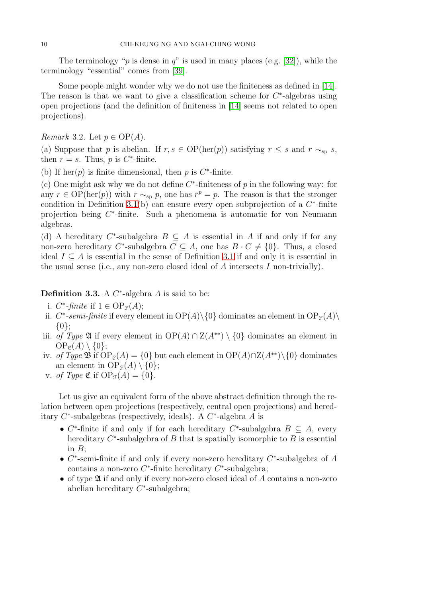The terminology "p is dense in q" is used in many places (e.g. [\[32\]](#page-27-7)), while the terminology "essential" comes from [\[39\]](#page-27-8).

Some people might wonder why we do not use the finiteness as defined in [\[14\]](#page-26-3). The reason is that we want to give a classification scheme for  $C^*$ -algebras using open projections (and the definition of finiteness in [\[14\]](#page-26-3) seems not related to open projections).

<span id="page-9-0"></span>*Remark* 3.2*.* Let  $p \in OP(A)$ *.* 

(a) Suppose that p is abelian. If  $r, s \in OP(\text{her}(p))$  satisfying  $r \leq s$  and  $r \sim_{sp} s$ , then  $r = s$ . Thus, p is  $C^*$ -finite.

(b) If  $\text{her}(p)$  is finite dimensional, then p is C<sup>\*</sup>-finite.

(c) One might ask why we do not define  $C^*$ -finiteness of p in the following way: for any  $r \in \mathrm{OP}(\mathrm{her}(p))$  with  $r \sim_{\mathrm{sp}} p$ , one has  $\bar{r}^p = p$ . The reason is that the stronger condition in Definition [3.1\(](#page-8-0)b) can ensure every open subprojection of a  $C^*$ -finite projection being  $C^*$ -finite. Such a phenomena is automatic for von Neumann algebras.

(d) A hereditary  $C^*$ -subalgebra  $B \subseteq A$  is essential in A if and only if for any non-zero hereditary C\*-subalgebra  $C \subseteq A$ , one has  $B \cdot C \neq \{0\}$ . Thus, a closed ideal  $I \subseteq A$  is essential in the sense of Definition [3.1](#page-8-0) if and only it is essential in the usual sense (i.e., any non-zero closed ideal of A intersects I non-trivially).

**Definition 3.3.** A  $C^*$ -algebra  $A$  is said to be:

- i.  $C^*$ -finite if  $1 \in \text{OP}_{\mathcal{F}}(A)$ ;
- ii.  $C^*$ -semi-finite if every element in  $OP(A) \setminus \{0\}$  dominates an element in  $OP_{\mathcal{F}}(A) \setminus$ {0};
- iii. *of Type* **2** if every element in  $OP(A) \cap Z(A^{**}) \setminus \{0\}$  dominates an element in  $OP<sub>e</sub>(A) \setminus \{0\};$
- iv. *of Type*  $\mathfrak{B}$  if  $OP_e(A) = \{0\}$  but each element in  $OP(A) \cap Z(A^{**})\setminus \{0\}$  dominates an element in  $OP_{\mathcal{F}}(A) \setminus \{0\};$
- v. *of Type*  $\mathfrak{C}$  if  $OP_{\mathcal{F}}(A) = \{0\}.$

Let us give an equivalent form of the above abstract definition through the relation between open projections (respectively, central open projections) and hereditary  $C^*$ -subalgebras (respectively, ideals). A  $C^*$ -algebra A is

- $C^*$ -finite if and only if for each hereditary  $C^*$ -subalgebra  $B \subseteq A$ , every hereditary  $C^*$ -subalgebra of  $B$  that is spatially isomorphic to  $B$  is essential in  $B$ :
- $C^*$ -semi-finite if and only if every non-zero hereditary  $C^*$ -subalgebra of A contains a non-zero  $C^*$ -finite hereditary  $C^*$ -subalgebra;
- of type  $\mathfrak A$  if and only if every non-zero closed ideal of A contains a non-zero abelian hereditary  $C^*$ -subalgebra;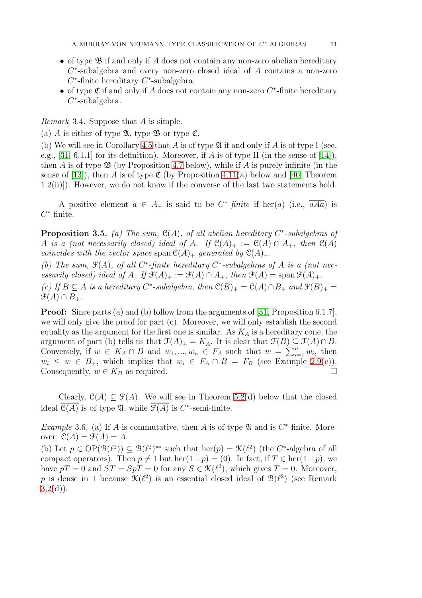- of type  $\mathfrak{B}$  if and only if A does not contain any non-zero abelian hereditary  $C^*$ -subalgebra and every non-zero closed ideal of  $A$  contains a non-zero  $C^*$ -finite hereditary  $C^*$ -subalgebra;
- of type  $\mathfrak C$  if and only if A does not contain any non-zero  $C^*$ -finite hereditary C ∗ -subalgebra.

<span id="page-10-2"></span>*Remark* 3.4*.* Suppose that A is simple.

(a) A is either of type  $\mathfrak{A}$ , type  $\mathfrak{B}$  or type  $\mathfrak{C}$ .

(b) We will see in Corollary [4.5](#page-17-0) that A is of type  $\mathfrak A$  if and only if A is of type I (see, e.g., [\[31,](#page-27-3) 6.1.1] for its definition). Moreover, if A is of type II (in the sense of [\[14\]](#page-26-3)), then A is of type  $\mathfrak{B}$  (by Proposition [4.7](#page-17-1) below), while if A is purely infinite (in the sense of [\[13\]](#page-26-17)), then A is of type  $\mathfrak{C}$  (by Proposition [4.11\(](#page-19-0)a) below and [\[40,](#page-27-9) Theorem 1.2(ii)]). However, we do not know if the converse of the last two statements hold.

A positive element  $a \in A_+$  is said to be  $C^*$ -*finite* if her(a) (i.e.,  $\overline{aAa}$ ) is  $C^*$ -finite.

<span id="page-10-0"></span>Proposition 3.5. *(a) The sum,* C(A)*, of all abelian hereditary* C ∗ *-subalgebras of* A *is a (not necessarily closed) ideal of* A. If  $\mathcal{C}(A)_+ := \mathcal{C}(A) \cap A_+$ *, then*  $\mathcal{C}(A)$ *coincides with the vector space* span  $\mathcal{C}(A)_+$  *generated by*  $\mathcal{C}(A)_+$ *.* 

(b) The sum,  $\mathfrak{F}(A)$ , of all  $C^*$ -finite hereditary  $C^*$ -subalgebras of A is a (not nec*essarily closed) ideal of* A*.* If  $\mathfrak{F}(A)_+ := \mathfrak{F}(A) \cap A_+$ , then  $\mathfrak{F}(A) = \text{span } \mathfrak{F}(A)_+$ .

*(c)* If  $B \subseteq A$  *is a hereditary*  $C^*$ -subalgebra, then  $\mathcal{C}(B)_+ = \mathcal{C}(A) \cap B_+$  *and*  $\mathcal{F}(B)_+ =$  $\mathfrak{F}(A) \cap B_+.$ 

**Proof:** Since parts (a) and (b) follow from the arguments of [\[31,](#page-27-3) Proposition 6.1.7], we will only give the proof for part (c). Moreover, we will only establish the second equality as the argument for the first one is similar. As  $K_A$  is a hereditary cone, the argument of part (b) tells us that  $\mathfrak{F}(A)_+ = K_A$ . It is clear that  $\mathfrak{F}(B) \subseteq \mathfrak{F}(A) \cap B$ . Conversely, if  $w \in K_A \cap B$  and  $w_1, ..., w_n \in F_A$  such that  $w = \sum_{i=1}^n w_i$ , then  $w_i \leq w \in B_+$ , which implies that  $w_i \in F_A \cap B = F_B$  (see Example [2.9\(](#page-8-1)c)). Consequently,  $w \in K_B$  as required.

Clearly,  $\mathcal{C}(A) \subset \mathcal{F}(A)$ . We will see in Theorem [5.2\(](#page-22-0)d) below that the closed ideal  $\mathcal{C}(A)$  is of type  $\mathfrak{A}$ , while  $\mathcal{F}(A)$  is  $C^*$ -semi-finite.

<span id="page-10-1"></span>*Example* 3.6. (a) If A is commutative, then A is of type  $\mathfrak A$  and is  $C^*$ -finite. Moreover,  $\mathcal{C}(A) = \mathcal{F}(A) = A$ .

(b) Let  $p \in \mathrm{OP}(\mathcal{B}(\ell^2)) \subseteq \mathcal{B}(\ell^2)^{**}$  such that  $\mathrm{her}(p) = \mathcal{K}(\ell^2)$  (the C\*-algebra of all compact operators). Then  $p \neq 1$  but her $(1-p) = (0)$ . In fact, if  $T \in \text{her}(1-p)$ , we have  $pT = 0$  and  $ST = SpT = 0$  for any  $S \in \mathcal{K}(\ell^2)$ , which gives  $T = 0$ . Moreover, p is dense in 1 because  $\mathcal{K}(\ell^2)$  is an essential closed ideal of  $\mathcal{B}(\ell^2)$  (see Remark  $3.2(d)$  $3.2(d)$ ).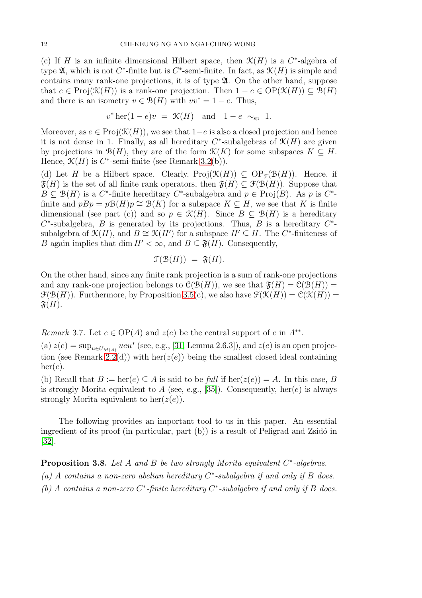(c) If H is an infinite dimensional Hilbert space, then  $\mathcal{K}(H)$  is a  $C^*$ -algebra of type  $\mathfrak{A}$ , which is not  $C^*$ -finite but is  $C^*$ -semi-finite. In fact, as  $\mathfrak{K}(H)$  is simple and contains many rank-one projections, it is of type A. On the other hand, suppose that  $e \in \text{Proj}(\mathcal{K}(H))$  is a rank-one projection. Then  $1 - e \in \text{OP}(\mathcal{K}(H)) \subseteq \mathcal{B}(H)$ and there is an isometry  $v \in \mathcal{B}(H)$  with  $vv^* = 1 - e$ . Thus,

$$
v^* \operatorname{her}(1-e)v = \mathcal{K}(H) \quad \text{and} \quad 1-e \sim_{\text{sp}} 1.
$$

Moreover, as  $e \in \text{Proj}(\mathcal{K}(H))$ , we see that  $1-e$  is also a closed projection and hence it is not dense in 1. Finally, as all hereditary  $C^*$ -subalgebras of  $\mathcal{K}(H)$  are given by projections in  $\mathcal{B}(H)$ , they are of the form  $\mathcal{K}(K)$  for some subspaces  $K \subseteq H$ . Hence,  $\mathcal{K}(H)$  is C<sup>\*</sup>-semi-finite (see Remark [3.2\(](#page-9-0)b)).

(d) Let H be a Hilbert space. Clearly,  $\text{Proj}(\mathcal{K}(H)) \subseteq \text{OP}_{\mathcal{F}}(\mathcal{B}(H))$ . Hence, if  $\mathfrak{F}(H)$  is the set of all finite rank operators, then  $\mathfrak{F}(H) \subset \mathfrak{F}(\mathcal{B}(H))$ . Suppose that  $B \subseteq \mathcal{B}(H)$  is a C<sup>\*</sup>-finite hereditary C<sup>\*</sup>-subalgebra and  $p \in \text{Proj}(B)$ . As p is C<sup>\*</sup>finite and  $pBp = p\mathcal{B}(H)p \cong \mathcal{B}(K)$  for a subspace  $K \subseteq H$ , we see that K is finite dimensional (see part (c)) and so  $p \in \mathcal{K}(H)$ . Since  $B \subseteq \mathcal{B}(H)$  is a hereditary  $C^*$ -subalgebra, B is generated by its projections. Thus, B is a hereditary  $C^*$ subalgebra of  $\mathcal{K}(H)$ , and  $B \cong \mathcal{K}(H')$  for a subspace  $H' \subseteq H$ . The C<sup>\*</sup>-finiteness of B again implies that dim  $H' < \infty$ , and  $B \subseteq \mathfrak{F}(H)$ . Consequently,

$$
\mathfrak{F}(\mathfrak{B}(H)) = \mathfrak{F}(H).
$$

On the other hand, since any finite rank projection is a sum of rank-one projections and any rank-one projection belongs to  $\mathcal{C}(\mathcal{B}(H))$ , we see that  $\mathfrak{F}(H) = \mathcal{C}(\mathcal{B}(H)) =$  $\mathcal{F}(\mathcal{B}(H))$ . Furthermore, by Proposition [3.5\(](#page-10-0)c), we also have  $\mathcal{F}(\mathcal{K}(H)) = \mathcal{C}(\mathcal{K}(H)) =$  $\mathfrak{F}(H)$ .

<span id="page-11-1"></span>*Remark* 3.7*.* Let  $e \in OP(A)$  and  $z(e)$  be the central support of e in  $A^{**}$ .

(a)  $z(e) = \sup_{u \in U_{M(A)}} u e u^*$  (see, e.g., [\[31,](#page-27-3) Lemma 2.6.3]), and  $z(e)$  is an open projec-tion (see Remark [2.2\(](#page-3-1)d)) with her( $z(e)$ ) being the smallest closed ideal containing  $her(e).$ 

(b) Recall that  $B := \text{her}(e) \subseteq A$  is said to be *full* if  $\text{her}(z(e)) = A$ . In this case, B is strongly Morita equivalent to A (see, e.g., [\[35\]](#page-27-6)). Consequently, her(e) is always strongly Morita equivalent to her $(z(e))$ .

The following provides an important tool to us in this paper. An essential ingredient of its proof (in particular, part  $(b)$ ) is a result of Peligrad and Zsidó in [\[32\]](#page-27-7).

<span id="page-11-0"></span>Proposition 3.8. Let A and B be two strongly Morita equivalent  $C^*$ -algebras. *(a)* A *contains a non-zero abelian hereditary* C ∗ *-subalgebra if and only if* B *does. (b)* A *contains a non-zero* C ∗ *-finite hereditary* C ∗ *-subalgebra if and only if* B *does.*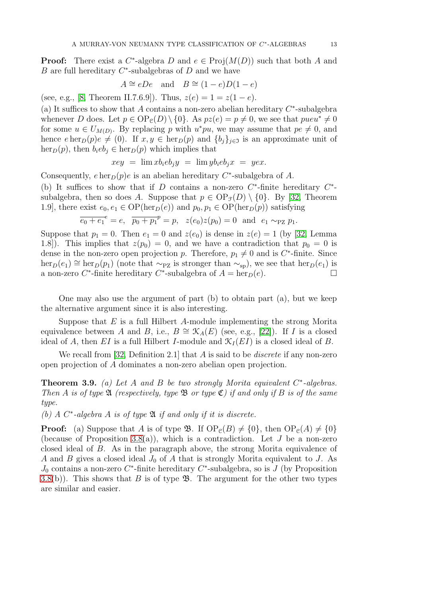**Proof:** There exist a  $C^*$ -algebra D and  $e \in Proj(M(D))$  such that both A and  $B$  are full hereditary  $C^*$ -subalgebras of  $D$  and we have

$$
A \cong eDe
$$
 and  $B \cong (1-e)D(1-e)$ 

(see, e.g., [\[8,](#page-26-18) Theorem II.7.6.9]). Thus,  $z(e) = 1 = z(1 - e)$ .

(a) It suffices to show that A contains a non-zero abelian hereditary  $C^*$ -subalgebra whenever D does. Let  $p \in \mathrm{OP}_{\mathcal{C}}(D) \setminus \{0\}$ . As  $pz(e) = p \neq 0$ , we see that  $pueu^* \neq 0$ for some  $u \in U_{M(D)}$ . By replacing p with  $u^*pu$ , we may assume that  $pe \neq 0$ , and hence  $e \operatorname{her}_D(p)e \neq (0)$ . If  $x, y \in \operatorname{her}_D(p)$  and  $\{b_j\}_{j \in \mathfrak{I}}$  is an approximate unit of  $\text{her}_D(p)$ , then  $b_i e b_j \in \text{her}_D(p)$  which implies that

$$
xey = \lim x b_i e b_j y = \lim y b_i e b_j x = y e x.
$$

Consequently,  $e \operatorname{her}_D(p)e$  is an abelian hereditary  $C^*$ -subalgebra of A.

(b) It suffices to show that if D contains a non-zero  $C^*$ -finite hereditary  $C^*$ subalgebra, then so does A. Suppose that  $p \in \text{OP}_{\mathcal{F}}(D) \setminus \{0\}$ . By [\[32,](#page-27-7) Theorem 1.9], there exist  $e_0, e_1 \in \text{OP}(\text{her}_D(e))$  and  $p_0, p_1 \in \text{OP}(\text{her}_D(p))$  satisfying

$$
\overline{e_0 + e_1}^e = e
$$
,  $\overline{p_0 + p_1}^p = p$ ,  $z(e_0)z(p_0) = 0$  and  $e_1 \sim_{\text{PZ}} p_1$ .

Suppose that  $p_1 = 0$ . Then  $e_1 = 0$  and  $z(e_0)$  is dense in  $z(e) = 1$  (by [\[32,](#page-27-7) Lemma 1.8). This implies that  $z(p_0) = 0$ , and we have a contradiction that  $p_0 = 0$  is dense in the non-zero open projection p. Therefore,  $p_1 \neq 0$  and is C<sup>\*</sup>-finite. Since  $\text{her}_D(e_1) \cong \text{her}_D(p_1)$  (note that  $\sim_{PZ}$  is stronger than  $\sim_{\text{sp}}$ ), we see that  $\text{her}_D(e_1)$  is a non-zero  $C^*$ -finite hereditary  $C^*$ -subalgebra of  $A = \text{her}_D(e)$ .

One may also use the argument of part  $(b)$  to obtain part  $(a)$ , but we keep the alternative argument since it is also interesting.

Suppose that  $E$  is a full Hilbert A-module implementing the strong Morita equivalence between A and B, i.e.,  $B \cong \mathcal{K}_A(E)$  (see, e.g., [\[22\]](#page-26-19)). If I is a closed ideal of A, then EI is a full Hilbert I-module and  $\mathcal{K}_I(EI)$  is a closed ideal of B.

We recall from [\[32,](#page-27-7) Definition 2.1] that A is said to be *discrete* if any non-zero open projection of A dominates a non-zero abelian open projection.

<span id="page-12-0"></span>Theorem 3.9. *(a) Let* A *and* B *be two strongly Morita equivalent* C ∗ *-algebras. Then* A *is of type* A *(respectively, type* B *or type* C*) if and only if* B *is of the same type.*

*(b) A* C ∗ *-algebra* A *is of type* A *if and only if it is discrete.*

**Proof:** (a) Suppose that A is of type **B**. If  $OP_{\mathcal{C}}(B) \neq \{0\}$ , then  $OP_{\mathcal{C}}(A) \neq \{0\}$ (because of Proposition [3.8\(](#page-11-0)a)), which is a contradiction. Let  $J$  be a non-zero closed ideal of B. As in the paragraph above, the strong Morita equivalence of A and B gives a closed ideal  $J_0$  of A that is strongly Morita equivalent to J. As  $J_0$  contains a non-zero  $C^*$ -finite hereditary  $C^*$ -subalgebra, so is  $J$  (by Proposition [3.8\(](#page-11-0)b)). This shows that B is of type  $\mathfrak{B}$ . The argument for the other two types are similar and easier.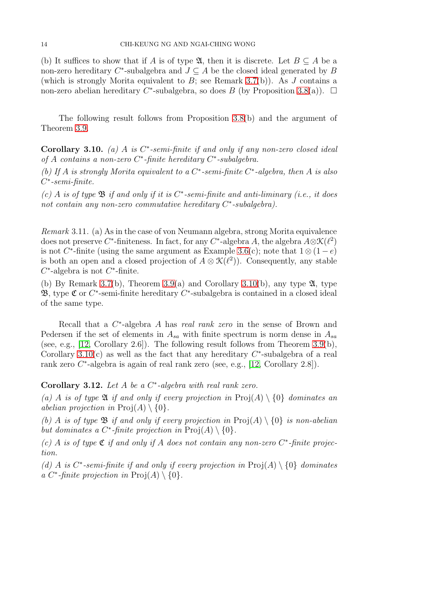(b) It suffices to show that if A is of type  $\mathfrak{A}$ , then it is discrete. Let  $B \subseteq A$  be a non-zero hereditary  $C^*$ -subalgebra and  $J \subseteq A$  be the closed ideal generated by B (which is strongly Morita equivalent to  $B$ ; see Remark [3.7\(](#page-11-1)b)). As  $J$  contains a non-zero abelian hereditary C<sup>\*</sup>-subalgebra, so does B (by Proposition [3.8\(](#page-11-0)a)).  $\Box$ 

The following result follows from Proposition [3.8\(](#page-11-0)b) and the argument of Theorem [3.9.](#page-12-0)

<span id="page-13-0"></span>Corollary 3.10. *(a)* A *is* C ∗ *-semi-finite if and only if any non-zero closed ideal of* A *contains a non-zero* C ∗ *-finite hereditary* C ∗ *-subalgebra.*

*(b) If* A *is strongly Morita equivalent to a* C ∗ *-semi-finite* C ∗ *-algebra, then* A *is also* C ∗ *-semi-finite.*

*(c)* A *is of type* B *if and only if it is* C ∗ *-semi-finite and anti-liminary (i.e., it does not contain any non-zero commutative hereditary* C ∗ *-subalgebra).*

<span id="page-13-2"></span>*Remark* 3.11*.* (a) As in the case of von Neumann algebra, strong Morita equivalence does not preserve C<sup>\*</sup>-finiteness. In fact, for any C<sup>\*</sup>-algebra A, the algebra  $A \otimes \mathcal{K}(\ell^2)$ is not C<sup>\*</sup>-finite (using the same argument as Example [3.6\(](#page-10-1)c); note that  $1 \otimes (1 - e)$ is both an open and a closed projection of  $A \otimes \mathcal{K}(\ell^2)$ ). Consequently, any stable  $C^*$ -algebra is not  $C^*$ -finite.

(b) By Remark [3.7\(](#page-11-1)b), Theorem [3.9\(](#page-12-0)a) and Corollary [3.10\(](#page-13-0)b), any type  $\mathfrak{A}$ , type **3**, type  $\mathfrak{C}$  or  $C^*$ -semi-finite hereditary  $C^*$ -subalgebra is contained in a closed ideal of the same type.

Recall that a C<sup>\*</sup>-algebra A has *real rank zero* in the sense of Brown and Pedersen if the set of elements in  $A_{sa}$  with finite spectrum is norm dense in  $A_{sa}$ (see, e.g.,  $[12, Corollary 2.6]$ ). The following result follows from Theorem [3.9\(](#page-12-0)b), Corollary  $3.10(c)$  as well as the fact that any hereditary  $C^*$ -subalgebra of a real rank zero C<sup>\*</sup>-algebra is again of real rank zero (see, e.g., [\[12,](#page-26-20) Corollary 2.8]).

## <span id="page-13-1"></span>Corollary 3.12. *Let* A *be a* C ∗ *-algebra with real rank zero.*

*(a)* A *is of type*  $\mathfrak A$  *if and only if every projection in*  $\text{Proj}(A) \setminus \{0\}$  *dominates an abelian projection in*  $\text{Proj}(A) \setminus \{0\}$ .

*(b)* A *is of type*  $\mathfrak{B}$  *if and only if every projection in*  $\text{Proj}(A) \setminus \{0\}$  *is non-abelian but dominates a C*<sup>\*</sup>-finite projection in  $\text{Proj}(A) \setminus \{0\}.$ 

 $(c)$  A *is of type*  $\mathfrak C$  *if and only if* A *does not contain any non-zero*  $C^*$ -finite projec*tion.*

(d) A is  $C^*$ -semi-finite if and only if every projection in  $\text{Proj}(A) \setminus \{0\}$  dominates *a*  $C^*$ -finite projection in  $\text{Proj}(A) \setminus \{0\}.$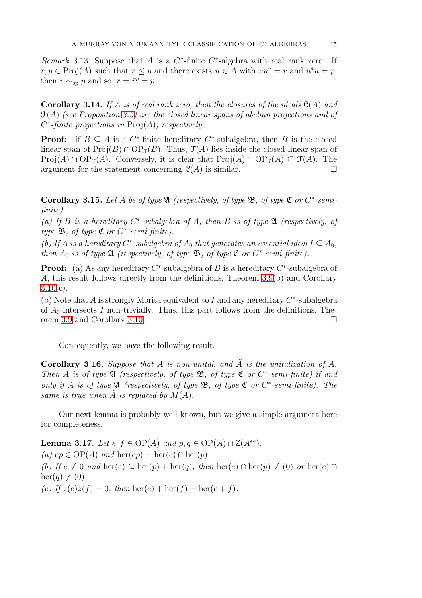<span id="page-14-2"></span>*Remark* 3.13. Suppose that A is a  $C^*$ -finite  $C^*$ -algebra with real rank zero. If  $r, p \in \text{Proj}(A)$  such that  $r \leq p$  and there exists  $u \in A$  with  $uu^* = r$  and  $u^*u = p$ , then  $r \sim_{\text{sp}} p$  and so,  $r = \bar{r}^p = p$ .

<span id="page-14-3"></span>Corollary 3.14. *If* A *is of real rank zero, then the closures of the ideals* C(A) *and* F(A) *(see Proposition [3.5\)](#page-10-0) are the closed linear spans of abelian projections and of* C ∗ *-finite projections in* Proj(A)*, respectively.*

**Proof:** If  $B \subseteq A$  is a  $C^*$ -finite hereditary  $C^*$ -subalgebra, then B is the closed linear span of  $\text{Proj}(B) \cap \text{OP}_{\mathcal{F}}(B)$ . Thus,  $\mathcal{F}(A)$  lies inside the closed linear span of  $Proj(A) \cap OP_{\tau}(A)$ . Conversely, it is clear that  $Proj(A) \cap OP_{\tau}(A) \subset \mathcal{F}(A)$ . The argument for the statement concerning  $\mathcal{C}(A)$  is similar.

<span id="page-14-1"></span>Corollary 3.15. Let A be of type  $\mathfrak A$  *(respectively, of type*  $\mathfrak B$ *, of type*  $\mathfrak C$  *or*  $C^*$ -semi*finite).*

*(a) If* B *is a hereditary* C ∗ *-subalgebra of* A*, then* B *is of type* A *(respectively, of type* B*, of type* C *or* C ∗ *-semi-finite).*

*(b)* If A is a hereditary  $C^*$ -subalgebra of  $A_0$  that generates an essential ideal  $I \subseteq A_0$ , *then*  $A_0$  *is of type*  $\mathfrak{A}$  *(respectively, of type*  $\mathfrak{B}$ *, of type*  $\mathfrak{C}$  *or*  $C^*$ -semi-finite).

**Proof:** (a) As any hereditary  $C^*$ -subalgebra of B is a hereditary  $C^*$ -subalgebra of A, this result follows directly from the definitions, Theorem [3.9\(](#page-12-0)b) and Corollary  $3.10(c)$  $3.10(c)$ .

(b) Note that A is strongly Morita equivalent to I and any hereditary  $C^*$ -subalgebra of  $A_0$  intersects I non-trivially. Thus, this part follows from the definitions, Theorem [3.9](#page-12-0) and Corollary [3.10.](#page-13-0)

Consequently, we have the following result.

**Corollary 3.16.** Suppose that A is non-unital, and  $\tilde{A}$  is the unitalization of A. *Then* A *is of type* A *(respectively, of type* B*, of type* C *or* C ∗ *-semi-finite) if and only if*  $\tilde{A}$  *is of type*  $\mathfrak{A}$  *(respectively, of type*  $\mathfrak{B}$ *, of type*  $\mathfrak{C}$  *or*  $C^*$ -semi-finite). The *same is true when*  $\tilde{A}$  *is replaced by*  $M(A)$ *.* 

Our next lemma is probably well-known, but we give a simple argument here for completeness.

<span id="page-14-0"></span>**Lemma 3.17.** *Let*  $e, f \in OP(A)$  *and*  $p, q \in OP(A) ∩ Z(A^{**}).$ *(a)* ep ∈ OP(*A*) *and* her(ep) = her(e) ∩ her(p). *(b)* If  $e \neq 0$  and  $\text{her}(e) \subseteq \text{her}(p) + \text{her}(q)$ , then  $\text{her}(e) \cap \text{her}(p) \neq (0)$  or  $\text{her}(e) \cap$  $\text{her}(q) \neq (0)$ . *(c)* If  $z(e)z(f) = 0$ , then  $\text{her}(e) + \text{her}(f) = \text{her}(e + f)$ .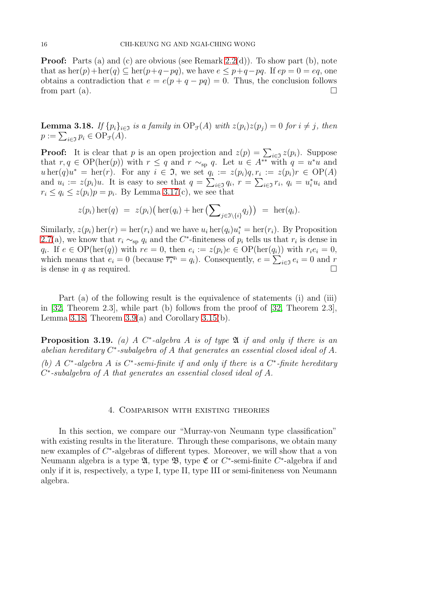**Proof:** Parts (a) and (c) are obvious (see Remark [2.2\(](#page-3-1)d)). To show part (b), note that as  $\text{her}(p)+\text{her}(q) \subseteq \text{her}(p+q-pq)$ , we have  $e \leq p+q-pq$ . If  $ep = 0 = eq$ , one obtains a contradiction that  $e = e(p + q - pq) = 0$ . Thus, the conclusion follows from part (a).  $\Box$ 

<span id="page-15-0"></span>**Lemma 3.18.** *If*  $\{p_i\}_{i\in\mathcal{I}}$  *is a family in*  $\text{OP}_{\mathcal{I}}(A)$  *with*  $z(p_i)z(p_j) = 0$  *for*  $i \neq j$ *, then*  $p := \sum_{i \in \mathfrak{I}} p_i \in \text{OP}_{\mathfrak{F}}(A).$ 

**Proof:** It is clear that p is an open projection and  $z(p) = \sum_{i \in \mathfrak{I}} z(p_i)$ . Suppose that  $r, q \in \mathrm{OP}(\mathrm{her}(p))$  with  $r \leq q$  and  $r \sim_{\mathrm{sp}} q$ . Let  $u \in A^{**}$  with  $q = u^*u$  and  $u \operatorname{her}(q) u^* = \operatorname{her}(r)$ . For any  $i \in \mathfrak{I}$ , we set  $q_i := z(p_i)q, r_i := z(p_i)r \in \mathrm{OP}(A)$ and  $u_i := z(p_i)u$ . It is easy to see that  $q = \sum_{i \in \mathfrak{I}} q_i$ ,  $r = \sum_{i \in \mathfrak{I}} r_i$ ,  $q_i = u_i^* u_i$  and  $r_i \le q_i \le z(p_i)p = p_i$ . By Lemma [3.17\(](#page-14-0)c), we see that

$$
z(p_i) \operatorname{her}(q) = z(p_i) \big( \operatorname{her}(q_i) + \operatorname{her} \big( \sum_{j \in \Im \setminus \{i\}} q_j \big) \big) = \operatorname{her}(q_i).
$$

Similarly,  $z(p_i)$  her $(r) = \text{her}(r_i)$  and we have  $u_i \text{her}(q_i)u_i^* = \text{her}(r_i)$ . By Proposition [2.7\(](#page-6-0)a), we know that  $r_i \sim_{\text{sp}} q_i$  and the C<sup>\*</sup>-finiteness of  $p_i$  tells us that  $r_i$  is dense in  $q_i$ . If  $e \in \mathrm{OP}(\mathrm{her}(q))$  with  $re = 0$ , then  $e_i := z(p_i)e \in \mathrm{OP}(\mathrm{her}(q_i))$  with  $r_i e_i = 0$ , which means that  $e_i = 0$  (because  $\overline{r_i}^{q_i} = q_i$ ). Consequently,  $e = \sum_{i \in \mathfrak{I}} e_i = 0$  and r is dense in q as required.

Part (a) of the following result is the equivalence of statements (i) and (iii) in [\[32,](#page-27-7) Theorem 2.3], while part (b) follows from the proof of [\[32,](#page-27-7) Theorem 2.3], Lemma [3.18,](#page-15-0) Theorem  $3.9(a)$  and Corollary  $3.15(b)$ .

<span id="page-15-1"></span>Proposition 3.19. *(a) A* C ∗ *-algebra* A *is of type* A *if and only if there is an abelian hereditary* C ∗ *-subalgebra of* A *that generates an essential closed ideal of* A*. (b) A* C ∗ *-algebra* A *is* C ∗ *-semi-finite if and only if there is a* C ∗ *-finite hereditary* C ∗ *-subalgebra of* A *that generates an essential closed ideal of* A*.*

#### 4. Comparison with existing theories

In this section, we compare our "Murray-von Neumann type classification" with existing results in the literature. Through these comparisons, we obtain many new examples of  $C^*$ -algebras of different types. Moreover, we will show that a von Neumann algebra is a type  $\mathfrak{A}$ , type  $\mathfrak{B}$ , type  $\mathfrak{C}$  or  $C^*$ -semi-finite  $C^*$ -algebra if and only if it is, respectively, a type I, type II, type III or semi-finiteness von Neumann algebra.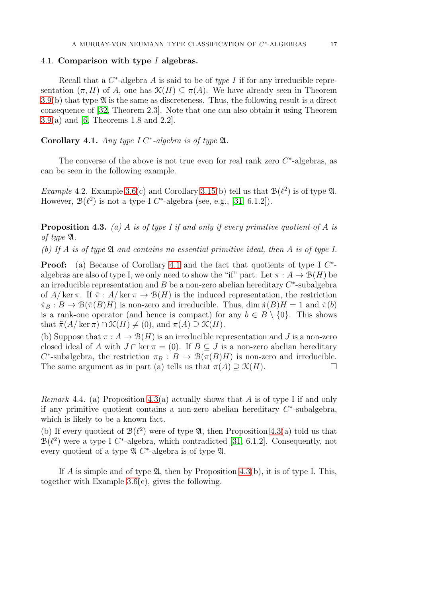#### 4.1. Comparison with type I algebras.

Recall that a  $C^*$ -algebra  $A$  is said to be of *type I* if for any irreducible representation  $(\pi, H)$  of A, one has  $\mathcal{K}(H) \subseteq \pi(A)$ . We have already seen in Theorem  $3.9(b)$  $3.9(b)$  that type  $\mathfrak A$  is the same as discreteness. Thus, the following result is a direct consequence of [\[32,](#page-27-7) Theorem 2.3]. Note that one can also obtain it using Theorem [3.9\(](#page-12-0)a) and [\[6,](#page-26-21) Theorems 1.8 and 2.2].

# <span id="page-16-0"></span>Corollary 4.1. *Any type I C*<sup>\*</sup>-algebra is of type  $\mathfrak{A}$ *.*

The converse of the above is not true even for real rank zero  $C^*$ -algebras, as can be seen in the following example.

*Example* 4.2. Example [3.6\(](#page-10-1)c) and Corollary [3.15\(](#page-14-1)b) tell us that  $B(\ell^2)$  is of type  $\mathfrak{A}$ . However,  $\mathcal{B}(\ell^2)$  is not a type I C<sup>\*</sup>-algebra (see, e.g., [\[31,](#page-27-3) 6.1.2]).

<span id="page-16-1"></span>Proposition 4.3. *(a)* A *is of type I if and only if every primitive quotient of* A *is of type* A*.*

*(b) If* A *is of type* A *and contains no essential primitive ideal, then* A *is of type I.*

**Proof:** (a) Because of Corollary [4.1](#page-16-0) and the fact that quotients of type I  $C^*$ algebras are also of type I, we only need to show the "if" part. Let  $\pi : A \to B(H)$  be an irreducible representation and  $B$  be a non-zero abelian hereditary  $C^*$ -subalgebra of  $A/\ker \pi$ . If  $\tilde{\pi}: A/\ker \pi \to \mathcal{B}(H)$  is the induced representation, the restriction  $\tilde{\pi}_B : B \to \mathcal{B}(\tilde{\pi}(B)H)$  is non-zero and irreducible. Thus, dim  $\tilde{\pi}(B)H = 1$  and  $\tilde{\pi}(b)$ is a rank-one operator (and hence is compact) for any  $b \in B \setminus \{0\}$ . This shows that  $\tilde{\pi}(A/\ker \pi) \cap \mathcal{K}(H) \neq (0)$ , and  $\pi(A) \supseteq \mathcal{K}(H)$ .

(b) Suppose that  $\pi : A \to \mathcal{B}(H)$  is an irreducible representation and J is a non-zero closed ideal of A with  $J \cap \ker \pi = (0)$ . If  $B \subseteq J$  is a non-zero abelian hereditary C<sup>\*</sup>-subalgebra, the restriction  $\pi_B : B \to \mathcal{B}(\pi(B)H)$  is non-zero and irreducible. The same argument as in part (a) tells us that  $\pi(A) \supseteq \mathcal{K}(H)$ .

*Remark* 4.4*.* (a) Proposition [4.3\(](#page-16-1)a) actually shows that A is of type I if and only if any primitive quotient contains a non-zero abelian hereditary  $C^*$ -subalgebra, which is likely to be a known fact.

(b) If every quotient of  $\mathcal{B}(\ell^2)$  were of type  $\mathfrak{A}$ , then Proposition [4.3\(](#page-16-1)a) told us that  $\mathcal{B}(\ell^2)$  were a type I C<sup>\*</sup>-algebra, which contradicted [\[31,](#page-27-3) 6.1.2]. Consequently, not every quotient of a type  $\mathfrak{A}$  C<sup>\*</sup>-algebra is of type  $\mathfrak{A}$ .

If A is simple and of type  $\mathfrak{A}$ , then by Proposition [4.3\(](#page-16-1)b), it is of type I. This, together with Example [3.6\(](#page-10-1)c), gives the following.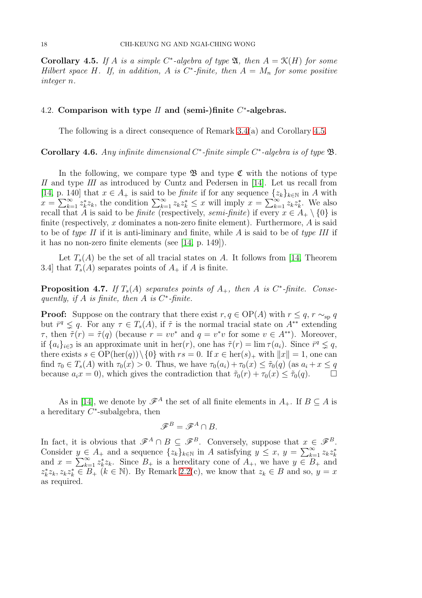<span id="page-17-0"></span>**Corollary 4.5.** If A is a simple C<sup>\*</sup>-algebra of type  $\mathfrak{A}$ , then  $A = \mathfrak{K}(H)$  for some *Hilbert space*  $H$ *. If, in addition,*  $A$  *is*  $C^*$ -finite, then  $A = M_n$  for some positive *integer* n*.*

# 4.2. Comparison with type  $II$  and (semi-)finite  $C^*$ -algebras.

The following is a direct consequence of Remark [3.4\(](#page-10-2)a) and Corollary [4.5.](#page-17-0)

<span id="page-17-2"></span>Corollary 4.6. *Any infinite dimensional* C ∗ *-finite simple* C ∗ *-algebra is of type* B*.*

In the following, we compare type  $\mathfrak{B}$  and type  $\mathfrak{C}$  with the notions of type II and type III as introduced by Cuntz and Pedersen in [\[14\]](#page-26-3). Let us recall from [\[14,](#page-26-3) p. 140] that  $x \in A_+$  is said to be *finite* if for any sequence  $\{z_k\}_{k\in\mathbb{N}}$  in A with  $x = \sum_{k=1}^{\infty} z_k^* z_k$ , the condition  $\sum_{k=1}^{\infty} z_k z_k^* \leq x$  will imply  $x = \sum_{k=1}^{\infty} z_k z_k^*$ . We also recall that A is said to be *finite* (respectively, *semi-finite*) if every  $x \in A_+ \setminus \{0\}$  is finite (respectively, x dominates a non-zero finite element). Furthermore,  $A$  is said to be of *type II* if it is anti-liminary and finite, while A is said to be of *type III* if it has no non-zero finite elements (see [\[14,](#page-26-3) p. 149]).

Let  $T_s(A)$  be the set of all tracial states on A. It follows from [\[14,](#page-26-3) Theorem 3.4] that  $T_s(A)$  separates points of  $A_+$  if A is finite.

<span id="page-17-1"></span>**Proposition 4.7.** If  $T_s(A)$  separates points of  $A_+$ , then  $A$  is  $C^*$ -finite. Conse*quently, if* A *is finite, then* A *is* C ∗ *-finite.*

**Proof:** Suppose on the contrary that there exist  $r, q \in OP(A)$  with  $r \leq q, r \sim_{\text{sn}} q$ but  $\bar{r}^q \leq q$ . For any  $\tau \in T_s(A)$ , if  $\tilde{\tau}$  is the normal tracial state on  $A^{**}$  extending  $\tau$ , then  $\tilde{\tau}(r) = \tilde{\tau}(q)$  (because  $r = vv^*$  and  $q = v^*v$  for some  $v \in A^{**}$ ). Moreover, if  $\{a_i\}_{i\in\mathfrak{I}}$  is an approximate unit in her $(r)$ , one has  $\tilde{\tau}(r) = \lim \tau(a_i)$ . Since  $\bar{r}^q \subsetneq q$ , there exists  $s \in OP(\text{her}(q)) \setminus \{0\}$  with  $rs = 0$ . If  $x \in \text{her}(s)_+$  with  $||x|| = 1$ , one can find  $\tau_0 \in T_s(A)$  with  $\tau_0(x) > 0$ . Thus, we have  $\tau_0(a_i) + \tau_0(x) \leq \tilde{\tau}_0(q)$  (as  $a_i + x \leq q$ because  $a_i x = 0$ ), which gives the contradiction that  $\tilde{\tau}_0(r) + \tau_0(x) \leq \tilde{\tau}_0(q)$ .

As in [\[14\]](#page-26-3), we denote by  $\mathscr{F}^A$  the set of all finite elements in  $A_+$ . If  $B \subset A$  is a hereditary  $C^*$ -subalgebra, then

$$
\mathscr{F}^B = \mathscr{F}^A \cap B.
$$

In fact, it is obvious that  $\mathscr{F}^A \cap B \subseteq \mathscr{F}^B$ . Conversely, suppose that  $x \in \mathscr{F}^B$ . Consider  $y \in A_+$  and a sequence  $\{z_k\}_{k\in\mathbb{N}}$  in A satisfying  $y \leq x, y = \sum_{k=1}^{\infty} z_k z_k^*$ and  $x = \sum_{k=1}^{\infty} z_k^* z_k$ . Since  $B_+$  is a hereditary cone of  $A_+$ , we have  $y \in B_+$  and  $z_k^*z_k, z_kz_k^* \in B_+$  ( $k \in \mathbb{N}$ ). By Remark [2.2\(](#page-3-1)c), we know that  $z_k \in B$  and so,  $y = x$ as required.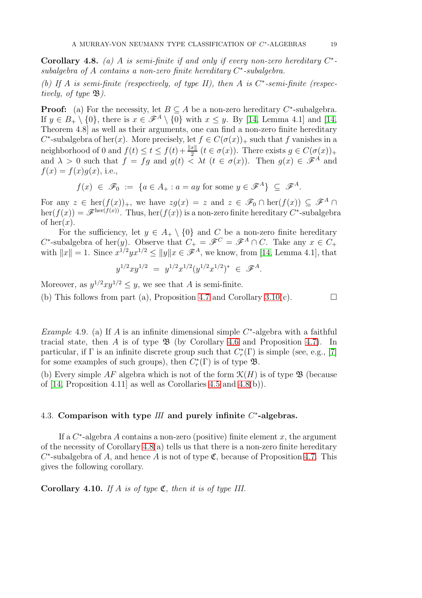<span id="page-18-0"></span>**Corollary 4.8.** (a) A is semi-finite if and only if every non-zero hereditary  $C^*$ *subalgebra of* A *contains a non-zero finite hereditary* C ∗ *-subalgebra.*

*(b) If* A *is semi-finite (respectively, of type II), then* A *is* C ∗ *-semi-finite (respectively, of type* B*).*

**Proof:** (a) For the necessity, let  $B \subseteq A$  be a non-zero hereditary  $C^*$ -subalgebra. If  $y \in B_+ \setminus \{0\}$ , there is  $x \in \mathscr{F}^A \setminus \{0\}$  with  $x \leq y$ . By [\[14,](#page-26-3) Lemma 4.1] and [14, Theorem 4.8] as well as their arguments, one can find a non-zero finite hereditary  $C^*$ -subalgebra of her $(x)$ . More precisely, let  $f \in C(\sigma(x))_+$  such that f vanishes in a neighborhood of 0 and  $f(t) \le t \le f(t) + \frac{\|x\|}{2}$   $(t \in \sigma(x))$ . There exists  $g \in C(\sigma(x))_+$ and  $\lambda > 0$  such that  $f = fg$  and  $g(t) < \lambda t$   $(t \in \sigma(x))$ . Then  $g(x) \in \mathscr{F}^A$  and  $f(x) = f(x)g(x)$ , i.e.,

$$
f(x) \in \mathscr{F}_0 := \{ a \in A_+ : a = ay \text{ for some } y \in \mathscr{F}^A \} \subseteq \mathscr{F}^A.
$$

For any  $z \in \text{her}(f(x))_+$ , we have  $zg(x) = z$  and  $z \in \mathscr{F}_0 \cap \text{her}(f(x)) \subseteq \mathscr{F}^A \cap$  $\text{her}(f(x)) = \mathscr{F}^{\text{her}(f(x))}$ . Thus,  $\text{her}(f(x))$  is a non-zero finite hereditary  $C^*$ -subalgebra of her $(x)$ .

For the sufficiency, let  $y \in A_+ \setminus \{0\}$  and C be a non-zero finite hereditary C<sup>\*</sup>-subalgebra of her(y). Observe that  $C_+ = \mathscr{F}^C = \mathscr{F}^A \cap C$ . Take any  $x \in C_+$ with  $||x|| = 1$ . Since  $x^{1/2}yx^{1/2} \le ||y||x \in \mathscr{F}^A$ , we know, from [\[14,](#page-26-3) Lemma 4.1], that

$$
y^{1/2}xy^{1/2} = y^{1/2}x^{1/2}(y^{1/2}x^{1/2})^* \in \mathscr{F}^A.
$$

Moreover, as  $y^{1/2}xy^{1/2} \leq y$ , we see that A is semi-finite.

(b) This follows from part (a), Proposition [4.7](#page-17-1) and Corollary [3.10\(](#page-13-0)c).  $\Box$ 

*Example* 4.9. (a) If A is an infinite dimensional simple  $C^*$ -algebra with a faithful tracial state, then A is of type  $\mathfrak{B}$  (by Corollary [4.6](#page-17-2) and Proposition [4.7\)](#page-17-1). In particular, if  $\Gamma$  is an infinite discrete group such that  $C_r^*(\Gamma)$  is simple (see, e.g., [\[7\]](#page-26-22) for some examples of such groups), then  $C_r^*(\Gamma)$  is of type  $\mathfrak{B}$ .

(b) Every simple AF algebra which is not of the form  $\mathcal{K}(H)$  is of type  $\mathfrak{B}$  (because of  $[14,$  Proposition 4.11 as well as Corollaries [4.5](#page-17-0) and  $(4.8(b))$ .

## 4.3. Comparison with type  $III$  and purely infinite  $C^*$ -algebras.

If a  $C^*$ -algebra A contains a non-zero (positive) finite element x, the argument of the necessity of Corollary  $4.8(a)$  tells us that there is a non-zero finite hereditary  $C^*$ -subalgebra of A, and hence A is not of type  $\mathfrak{C}$ , because of Proposition [4.7.](#page-17-1) This gives the following corollary.

<span id="page-18-1"></span>Corollary 4.10. *If* A *is of type* C*, then it is of type III.*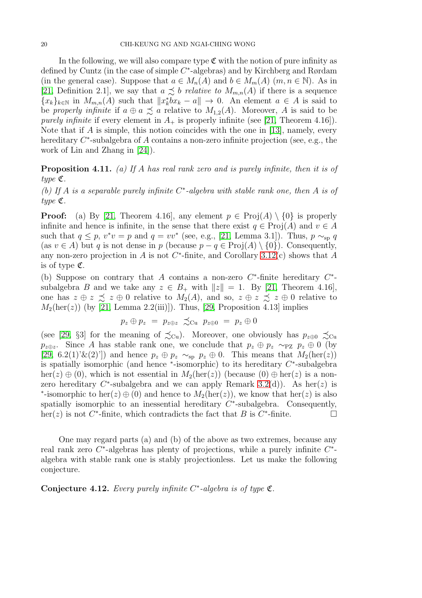In the following, we will also compare type  $\mathfrak{C}$  with the notion of pure infinity as defined by Cuntz (in the case of simple C<sup>\*</sup>-algebras) and by Kirchberg and Rørdam (in the general case). Suppose that  $a \in M_n(A)$  and  $b \in M_m(A)$   $(m, n \in \mathbb{N})$ . As in [\[21,](#page-26-23) Definition 2.1], we say that  $a \precsim b$  *relative to*  $M_{m,n}(A)$  if there is a sequence  ${x_k}_{k\in\mathbb{N}}$  in  $M_{m,n}(A)$  such that  $||x_k^*bx_k - a|| \to 0$ . An element  $a \in A$  is said to be *properly infinite* if  $a \oplus a \preceq a$  relative to  $M_{1,2}(A)$ . Moreover, A is said to be *purely infinite* if every element in  $A_+$  is properly infinite (see [\[21,](#page-26-23) Theorem 4.16]). Note that if A is simple, this notion coincides with the one in [\[13\]](#page-26-17), namely, every hereditary  $C^*$ -subalgebra of A contains a non-zero infinite projection (see, e.g., the work of Lin and Zhang in [\[24\]](#page-26-24)).

<span id="page-19-0"></span>Proposition 4.11. *(a) If* A *has real rank zero and is purely infinite, then it is of type* C*.*

*(b) If* A *is a separable purely infinite* C ∗ *-algebra with stable rank one, then* A *is of type* C*.*

**Proof:** (a) By [\[21,](#page-26-23) Theorem 4.16], any element  $p \in \text{Proj}(A) \setminus \{0\}$  is properly infinite and hence is infinite, in the sense that there exist  $q \in \text{Proj}(A)$  and  $v \in A$ such that  $q \leq p$ ,  $v^*v = p$  and  $q = vv^*$  (see, e.g., [\[21,](#page-26-23) Lemma 3.1]). Thus,  $p \sim_{sp} q$ (as  $v \in A$ ) but q is not dense in p (because  $p - q \in \text{Proj}(A) \setminus \{0\}$ ). Consequently, any non-zero projection in A is not  $C^*$ -finite, and Corollary [3.12\(](#page-13-1)c) shows that A is of type  $\mathfrak{C}$ .

(b) Suppose on contrary that A contains a non-zero  $C^*$ -finite hereditary  $C^*$ subalgebra B and we take any  $z \in B_+$  with  $||z|| = 1$ . By [\[21,](#page-26-23) Theorem 4.16], one has  $z \oplus z \precsim z \oplus 0$  relative to  $M_2(A)$ , and so,  $z \oplus z \precsim z \oplus 0$  relative to  $M_2(\text{her}(z))$  (by [\[21,](#page-26-23) Lemma 2.2(iii)]). Thus, [\[29,](#page-26-15) Proposition 4.13] implies

$$
p_z \oplus p_z = p_{z \oplus z} \precsim_{\text{Cu}} p_{z \oplus 0} = p_z \oplus 0
$$

(see [\[29,](#page-26-15) §3] for the meaning of  $\precsim_{\mathrm{Cu}}$ ). Moreover, one obviously has  $p_{z\oplus 0} \precsim_{\mathrm{Cu}}$  $p_{z\oplus z}$ . Since A has stable rank one, we conclude that  $p_z \oplus p_z \sim_{\text{PZ}} p_z \oplus 0$  (by [\[29,](#page-26-15) 6.2(1)'&(2)']) and hence  $p_z \oplus p_z \sim_{\text{sp}} p_z \oplus 0$ . This means that  $M_2(\text{her}(z))$ is spatially isomorphic (and hence  $*$ -isomorphic) to its hereditary  $C^*$ -subalgebra her(z)  $\oplus$  (0), which is not essential in  $M_2(\text{her}(z))$  (because (0)  $\oplus$  her(z) is a nonzero hereditary  $C^*$ -subalgebra and we can apply Remark [3.2\(](#page-9-0)d)). As her(z) is \*-isomorphic to her(z)  $\oplus$  (0) and hence to  $M_2(\text{her}(z))$ , we know that her(z) is also spatially isomorphic to an inessential hereditary  $C^*$ -subalgebra. Consequently, her(z) is not  $C^*$ -finite, which contradicts the fact that B is  $C^*$ -finite.

One may regard parts (a) and (b) of the above as two extremes, because any real rank zero  $C^*$ -algebras has plenty of projections, while a purely infinite  $C^*$ algebra with stable rank one is stably projectionless. Let us make the following conjecture.

<span id="page-19-1"></span>Conjecture 4.12. *Every purely infinite* C ∗ *-algebra is of type* C*.*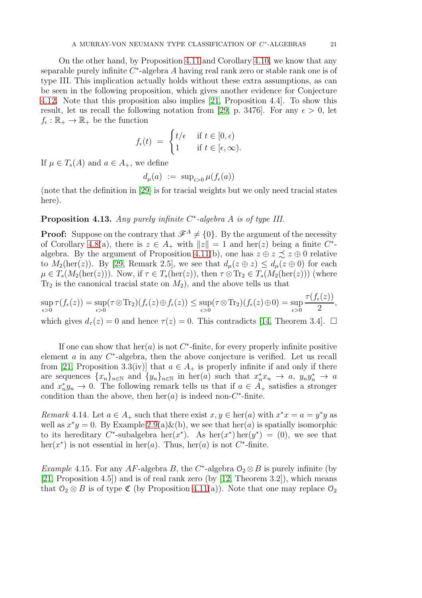On the other hand, by Proposition [4.11](#page-19-0) and Corollary [4.10,](#page-18-1) we know that any separable purely infinite  $C^*$ -algebra A having real rank zero or stable rank one is of type III. This implication actually holds without these extra assumptions, as can be seen in the following proposition, which gives another evidence for Conjecture [4.12.](#page-19-1) Note that this proposition also implies [\[21,](#page-26-23) Proposition 4.4]. To show this result, let us recall the following notation from [\[29,](#page-26-15) p. 3476]. For any  $\epsilon > 0$ , let  $f_{\epsilon}: \mathbb{R}_{+} \to \mathbb{R}_{+}$  be the function

$$
f_{\epsilon}(t) = \begin{cases} t/\epsilon & \text{if } t \in [0, \epsilon) \\ 1 & \text{if } t \in [\epsilon, \infty). \end{cases}
$$

If  $\mu \in T_s(A)$  and  $a \in A_+$ , we define

$$
d_{\mu}(a) := \sup_{\epsilon > 0} \mu(f_{\epsilon}(a))
$$

(note that the definition in [\[29\]](#page-26-15) is for tracial weights but we only need tracial states here).

## Proposition 4.13. *Any purely infinite* C ∗ *-algebra* A *is of type III.*

**Proof:** Suppose on the contrary that  $\mathcal{F}^A \neq \{0\}$ . By the argument of the necessity of Corollary [4.8\(](#page-18-0)a), there is  $z \in A_+$  with  $||z|| = 1$  and her(z) being a finite  $C^*$ -algebra. By the argument of Proposition [4.11\(](#page-19-0)b), one has  $z \oplus z \precsim z \oplus 0$  relative to  $M_2(\text{her}(z))$ . By [\[29,](#page-26-15) Remark 2.5], we see that  $d_{\mu}(z \oplus z) \leq d_{\mu}(z \oplus 0)$  for each  $\mu \in T_s(M_2(\text{her}(z)))$ . Now, if  $\tau \in T_s(\text{her}(z))$ , then  $\tau \otimes \text{Tr}_2 \in T_s(M_2(\text{her}(z)))$  (where  $Tr_2$  is the canonical tracial state on  $M_2$ ), and the above tells us that

$$
\sup_{\epsilon>0} \tau(f_{\epsilon}(z)) = \sup_{\epsilon>0} (\tau \otimes \text{Tr}_{2})(f_{\epsilon}(z) \oplus f_{\epsilon}(z)) \leq \sup_{\epsilon>0} (\tau \otimes \text{Tr}_{2})(f_{\epsilon}(z) \oplus 0) = \sup_{\epsilon>0} \frac{\tau(f_{\epsilon}(z))}{2},
$$

which gives  $d_{\tau}(z) = 0$  and hence  $\tau(z) = 0$ . This contradicts [\[14,](#page-26-3) Theorem 3.4].  $\Box$ 

If one can show that  $\text{her}(a)$  is not  $C^*$ -finite, for every properly infinite positive element  $a$  in any  $C^*$ -algebra, then the above conjecture is verified. Let us recall from [\[21,](#page-26-23) Proposition 3.3(iv)] that  $a \in A_+$  is properly infinite if and only if there are sequences  $\{x_n\}_{n\in\mathbb{N}}$  and  $\{y_n\}_{n\in\mathbb{N}}$  in her(a) such that  $x_n^*x_n \to a$ ,  $y_ny_n^* \to a$ and  $x_n^* y_n \to 0$ . The following remark tells us that if  $a \in A_+$  satisfies a stronger condition than the above, then  $her(a)$  is indeed non- $C^*$ -finite.

*Remark* 4.14*.* Let  $a \in A_+$  such that there exist  $x, y \in \text{her}(a)$  with  $x^*x = a = y^*y$  as well as  $x^*y = 0$ . By Example [2.9\(](#page-8-1)a)&(b), we see that her(a) is spatially isomorphic to its hereditary C<sup>\*</sup>-subalgebra her(x<sup>\*</sup>). As her(x<sup>\*</sup>) her(y<sup>\*</sup>) = (0), we see that her( $x^*$ ) is not essential in her(a). Thus, her(a) is not  $C^*$ -finite.

*Example* 4.15. For any  $AF$ -algebra  $B$ , the  $C^*$ -algebra  $\mathcal{O}_2 \otimes B$  is purely infinite (by [\[21,](#page-26-23) Proposition 4.5]) and is of real rank zero (by [\[12,](#page-26-20) Theorem 3.2]), which means that  $\mathcal{O}_2 \otimes B$  is of type  $\mathfrak{C}$  (by Proposition [4.11\(](#page-19-0)a)). Note that one may replace  $\mathcal{O}_2$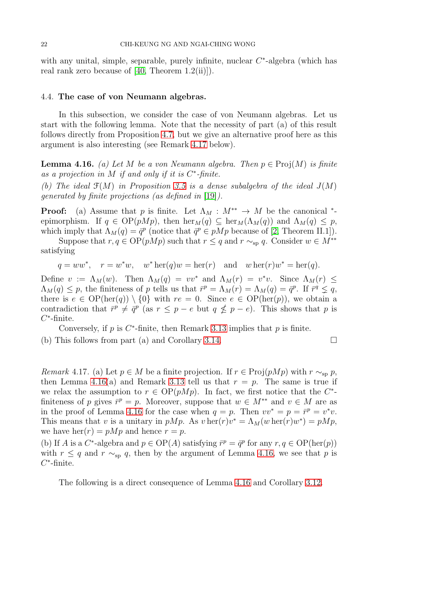with any unital, simple, separable, purely infinite, nuclear  $C^*$ -algebra (which has real rank zero because of  $[40,$  Theorem  $1.2(ii)$ ].

#### 4.4. The case of von Neumann algebras.

In this subsection, we consider the case of von Neumann algebras. Let us start with the following lemma. Note that the necessity of part (a) of this result follows directly from Proposition [4.7,](#page-17-1) but we give an alternative proof here as this argument is also interesting (see Remark [4.17](#page-21-0) below).

<span id="page-21-1"></span>**Lemma 4.16.** *(a)* Let M be a von Neumann algebra. Then  $p \in \text{Proj}(M)$  is finite *as a projection in* M *if and only if it is* C ∗ *-finite.*

(b) The ideal  $\mathfrak{F}(M)$  in Proposition [3.5](#page-10-0) is a dense subalgebra of the ideal  $J(M)$ *generated by finite projections (as defined in* [\[19\]](#page-26-25)*).*

**Proof:** (a) Assume that p is finite. Let  $\Lambda_M : M^{**} \to M$  be the canonical \*epimorphism. If  $q \in OP(pMp)$ , then  $\text{her}_M(q) \subseteq \text{her}_M(\Lambda_M(q))$  and  $\Lambda_M(q) \leq p$ , which imply that  $\Lambda_M(q) = \bar{q}^p$  (notice that  $\bar{q}^p \in pMp$  because of [\[2,](#page-25-1) Theorem II.1]).

Suppose that  $r, q \in \mathrm{OP}(pMp)$  such that  $r \leq q$  and  $r \sim_{\mathrm{sp}} q$ . Consider  $w \in M^{**}$ satisfying

$$
q = ww^*, \quad r = w^*w, \quad w^*\operatorname{her}(q)w = \operatorname{her}(r) \quad \text{and} \quad w \operatorname{her}(r)w^* = \operatorname{her}(q).
$$

Define  $v := \Lambda_M(w)$ . Then  $\Lambda_M(q) = vv^*$  and  $\Lambda_M(r) = v^*v$ . Since  $\Lambda_M(r) \leq$  $\Lambda_M(q) \leq p$ , the finiteness of p tells us that  $\bar{r}^p = \Lambda_M(r) = \Lambda_M(q) = \bar{q}^p$ . If  $\bar{r}^q \leq q$ , there is  $e \in OP(\text{her}(q)) \setminus \{0\}$  with  $re = 0$ . Since  $e \in OP(\text{her}(p))$ , we obtain a contradiction that  $\bar{r}^p \neq \bar{q}^p$  (as  $r \leq p - e$  but  $q \nleq p - e$ ). This shows that p is  $C^*$ -finite.

Conversely, if  $p$  is  $C^*$ -finite, then Remark [3.13](#page-14-2) implies that  $p$  is finite. (b) This follows from part (a) and Corollary [3.14.](#page-14-3)  $\Box$ 

<span id="page-21-0"></span>*Remark* 4.17*.* (a) Let  $p \in M$  be a finite projection. If  $r \in \text{Proj}(pMp)$  with  $r \sim_{\text{sp}} p$ , then Lemma [4.16\(](#page-21-1)a) and Remark [3.13](#page-14-2) tell us that  $r = p$ . The same is true if we relax the assumption to  $r \in OP(pMp)$ . In fact, we first notice that the C<sup>\*</sup>finiteness of p gives  $\bar{r}^p = p$ . Moreover, suppose that  $w \in M^{**}$  and  $v \in M$  are as in the proof of Lemma [4.16](#page-21-1) for the case when  $q = p$ . Then  $vv^* = p = \bar{r}^p = v^*v$ . This means that v is a unitary in pMp. As  $v \text{ her}(r)v^* = \Lambda_M(w \text{ her}(r)w^*) = pMp$ , we have her $(r) = pMp$  and hence  $r = p$ .

(b) If A is a C<sup>\*</sup>-algebra and  $p \in OP(A)$  satisfying  $\bar{r}^p = \bar{q}^p$  for any  $r, q \in OP(\text{her}(p))$ with  $r \leq q$  and  $r \sim_{\text{sp}} q$ , then by the argument of Lemma [4.16,](#page-21-1) we see that p is  $C^*$ -finite.

The following is a direct consequence of Lemma [4.16](#page-21-1) and Corollary [3.12.](#page-13-1)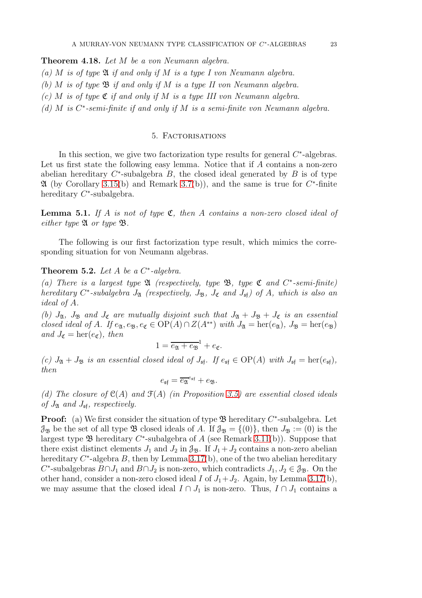<span id="page-22-2"></span>Theorem 4.18. *Let* M *be a von Neumann algebra.*

- *(a)* M *is of type* A *if and only if* M *is a type I von Neumann algebra.*
- *(b)* M *is of type* B *if and only if* M *is a type II von Neumann algebra.*
- *(c)* M *is of type* C *if and only if* M *is a type III von Neumann algebra.*
- *(d)* M *is* C ∗ *-semi-finite if and only if* M *is a semi-finite von Neumann algebra.*

#### 5. Factorisations

In this section, we give two factorization type results for general  $C^*$ -algebras. Let us first state the following easy lemma. Notice that if  $A$  contains a non-zero abelian hereditary  $C^*$ -subalgebra  $B$ , the closed ideal generated by  $B$  is of type  $\mathfrak A$  (by Corollary [3.15\(](#page-14-1)b) and Remark [3.7\(](#page-11-1)b)), and the same is true for  $C^*$ -finite hereditary C<sup>\*</sup>-subalgebra.

<span id="page-22-1"></span>Lemma 5.1. *If* A *is not of type* C*, then* A *contains a non-zero closed ideal of either type*  $\mathfrak{A}$  *or type*  $\mathfrak{B}$ *.* 

The following is our first factorization type result, which mimics the corresponding situation for von Neumann algebras.

# <span id="page-22-0"></span>**Theorem 5.2.** Let  $A$  be a  $C^*$ -algebra.

(a) There is a largest type  $\mathfrak{A}$  (respectively, type  $\mathfrak{B}$ , type  $\mathfrak{C}$  and  $C^*$ -semi-finite) *hereditary*  $C^*$ -subalgebra  $J_{\mathfrak{A}}$  (respectively,  $J_{\mathfrak{B}}$ ,  $J_{\mathfrak{C}}$  and  $J_{\mathfrak{sf}}$ ) of A, which is also an *ideal of* A*.*

*(b)*  $J_{\mathfrak{A}}$ ,  $J_{\mathfrak{B}}$  *and*  $J_{\mathfrak{C}}$  *are mutually disjoint such that*  $J_{\mathfrak{A}} + J_{\mathfrak{B}} + J_{\mathfrak{C}}$  *is an essential closed ideal of* A*.* If  $e_{\mathfrak{A}}, e_{\mathfrak{B}}, e_{\mathfrak{C}} \in OP(A) \cap Z(A^{**})$  *with*  $J_{\mathfrak{A}} = \text{her}(e_{\mathfrak{A}}), J_{\mathfrak{B}} = \text{her}(e_{\mathfrak{B}})$ *and*  $J_{\mathfrak{C}} = \text{her}(e_{\mathfrak{C}})$ *, then* 

$$
1 = \overline{e_{\mathfrak{A}} + e_{\mathfrak{B}}}^1 + e_{\mathfrak{C}}.
$$

 $(c)$   $J_{\mathfrak{A}} + J_{\mathfrak{B}}$  *is an essential closed ideal of*  $J_{\mathfrak{sf}}$ *. If*  $e_{\mathfrak{sf}} \in \text{OP}(A)$  *with*  $J_{\mathfrak{sf}} = \text{her}(e_{\mathfrak{sf}})$ *, then*

$$
e_{\mathfrak{s}\mathfrak{f}} = \overline{e_{\mathfrak{A}}}^{e_{\mathfrak{s}\mathfrak{f}}} + e_{\mathfrak{B}}.
$$

*(d) The closure of* C(A) *and* F(A) *(in Proposition [3.5\)](#page-10-0) are essential closed ideals of*  $J_{\mathfrak{A}}$  *and*  $J_{\mathfrak{sf}}$ *, respectively.* 

**Proof:** (a) We first consider the situation of type  $\mathfrak{B}$  hereditary  $C^*$ -subalgebra. Let  $\mathcal{J}_{\mathfrak{B}}$  be the set of all type  $\mathfrak{B}$  closed ideals of A. If  $\mathcal{J}_{\mathfrak{B}} = \{(0)\}\$ , then  $J_{\mathfrak{B}} := (0)$  is the largest type  $\mathfrak B$  hereditary  $C^*$ -subalgebra of A (see Remark [3.11\(](#page-13-2)b)). Suppose that there exist distinct elements  $J_1$  and  $J_2$  in  $\mathcal{J}_{\mathfrak{B}}$ . If  $J_1 + J_2$  contains a non-zero abelian hereditary  $C^*$ -algebra  $B$ , then by Lemma [3.17\(](#page-14-0)b), one of the two abelian hereditary C<sup>\*</sup>-subalgebras  $B \cap J_1$  and  $B \cap J_2$  is non-zero, which contradicts  $J_1, J_2 \in \mathcal{J}_{\mathfrak{B}}$ . On the other hand, consider a non-zero closed ideal I of  $J_1 + J_2$ . Again, by Lemma [3.17\(](#page-14-0)b), we may assume that the closed ideal  $I \cap J_1$  is non-zero. Thus,  $I \cap J_1$  contains a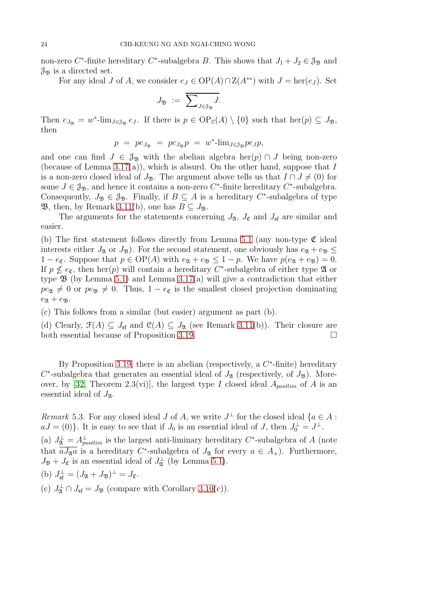non-zero C<sup>\*</sup>-finite hereditary C<sup>\*</sup>-subalgebra B. This shows that  $J_1 + J_2 \in \mathcal{J}_{\mathfrak{B}}$  and  $\mathcal{J}_{\mathfrak{B}}$  is a directed set.

For any ideal J of A, we consider  $e_J \in OP(A) \cap Z(A^{**})$  with  $J = \text{her}(e_J)$ . Set

$$
J_{\mathfrak{B}}\;:=\;\overline{\sum\nolimits_{J\in\mathfrak{F}_{\mathfrak{B}}}J}.
$$

Then  $e_{J_{\mathfrak{B}}} = w^*$ -lim<sub>J∈ $\mathfrak{g}_{\mathfrak{B}}$ </sub>  $e_J$ . If there is  $p \in \mathrm{OP}_{\mathfrak{C}}(A) \setminus \{0\}$  such that her $(p) \subseteq J_{\mathfrak{B}}$ , then

$$
p = p e_{J_{\mathfrak{B}}} = p e_{J_{\mathfrak{B}}} p = w^* \text{-lim}_{J \in \mathfrak{F}_{\mathfrak{B}}} p e_J p,
$$

and one can find  $J \in \mathcal{J}_\mathfrak{B}$  with the abelian algebra her(p)  $\cap J$  being non-zero (because of Lemma [3.17\(](#page-14-0)a)), which is absurd. On the other hand, suppose that I is a non-zero closed ideal of  $J_{\mathfrak{B}}$ . The argument above tells us that  $I \cap J \neq (0)$  for some  $J \in \mathcal{J}_{\mathfrak{B}}$ , and hence it contains a non-zero  $C^*$ -finite hereditary  $C^*$ -subalgebra. Consequently,  $J_{\mathfrak{B}} \in \mathfrak{J}_{\mathfrak{B}}$ . Finally, if  $B \subseteq A$  is a hereditary  $C^*$ -subalgebra of type **B**, then, by Remark [3.11\(](#page-13-2)b), one has  $B \subseteq J_{\mathfrak{B}}$ .

The arguments for the statements concerning  $J_{\mathfrak{A}}$ ,  $J_{\mathfrak{C}}$  and  $J_{\mathfrak{sf}}$  are similar and easier.

(b) The first statement follows directly from Lemma [5.1](#page-22-1) (any non-type  $\mathfrak{C}$  ideal interests either  $J_{\mathfrak{A}}$  or  $J_{\mathfrak{B}}$ ). For the second statement, one obviously has  $e_{\mathfrak{A}} + e_{\mathfrak{B}} \leq$  $1 - e_{\mathfrak{C}}$ . Suppose that  $p \in OP(A)$  with  $e_{\mathfrak{A}} + e_{\mathfrak{B}} \leq 1 - p$ . We have  $p(e_{\mathfrak{A}} + e_{\mathfrak{B}}) = 0$ . If  $p \nleq e_{\mathfrak{C}}$ , then her(p) will contain a hereditary C<sup>\*</sup>-subalgebra of either type  $\mathfrak A$  or type  $\mathfrak B$  (by Lemma [5.1\)](#page-22-1) and Lemma [3.17\(](#page-14-0)a) will give a contradiction that either  $pe_{\mathfrak{A}} \neq 0$  or  $pe_{\mathfrak{B}} \neq 0$ . Thus,  $1 - e_{\mathfrak{C}}$  is the smallest closed projection dominating  $e_{\mathfrak{A}} + e_{\mathfrak{B}}.$ 

(c) This follows from a similar (but easier) argument as part (b).

(d) Clearly,  $\mathcal{F}(A) \subseteq J_{\mathfrak{s}f}$  and  $\mathcal{C}(A) \subseteq J_{\mathfrak{A}}$  (see Remark [3.11\(](#page-13-2)b)). Their closure are both essential because of Proposition [3.19.](#page-15-1)

By Proposition [3.19,](#page-15-1) there is an abelian (respectively, a  $C^*$ -finite) hereditary  $C^*$ -subalgebra that generates an essential ideal of  $J_{\mathfrak{A}}$  (respectively, of  $J_{\mathfrak{B}}$ ). More-over, by [\[32,](#page-27-7) Theorem 2.3(vi)], the largest type I closed ideal  $A_{\text{postlim}}$  of A is an essential ideal of  $J_{\mathfrak{A}}$ .

<span id="page-23-0"></span>*Remark* 5.3. For any closed ideal *J* of *A*, we write  $J^{\perp}$  for the closed ideal  $\{a \in A :$  $aJ = (0)$ . It is easy to see that if  $J_0$  is an essential ideal of J, then  $J_0^{\perp} = J^{\perp}$ .

(a)  $J_{\mathfrak{A}}^{\perp} = A_{postlim}^{\perp}$  is the largest anti-liminary hereditary C\*-subalgebra of A (note that  $\overline{aJ_{\mathfrak{A}}a}$  is a hereditary C<sup>\*</sup>-subalgebra of  $J_{\mathfrak{A}}$  for every  $a \in A_+$ ). Furthermore,  $J_{\mathfrak{B}}+J_{\mathfrak{C}}$  is an essential ideal of  $J_{\mathfrak{A}}^{\perp}$  (by Lemma [5.1\)](#page-22-1).

(b) 
$$
J_{\mathfrak{s}\mathfrak{f}}^{\perp} = (J_{\mathfrak{A}} + J_{\mathfrak{B}})^{\perp} = J_{\mathfrak{C}}.
$$

(c)  $J_{\mathfrak{A}}^{\perp} \cap J_{\mathfrak{sf}} = J_{\mathfrak{B}}$  (compare with Corollary [3.10\(](#page-13-0)c)).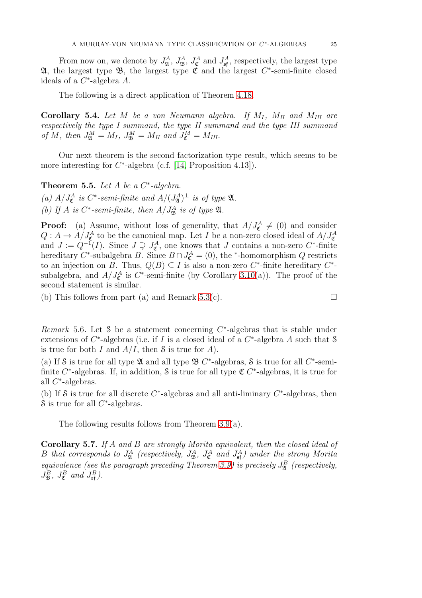From now on, we denote by  $J_{\mathfrak{A}}^A$ ,  $J_{\mathfrak{B}}^A$ ,  $J_{\mathfrak{E}}^A$  and  $J_{\mathfrak{sf}}^A$ , respectively, the largest type **21**, the largest type **3**, the largest type  $\mathfrak{C}$  and the largest  $C^*$ -semi-finite closed ideals of a  $C^*$ -algebra A.

The following is a direct application of Theorem [4.18.](#page-22-2)

**Corollary 5.4.** Let M be a von Neumann algebra. If  $M_I$ ,  $M_{II}$  and  $M_{III}$  are *respectively the type I summand, the type II summand and the type III summand of*  $M$ *, then*  $J^M_{\mathfrak{A}} = M_I$ *,*  $J^M_{\mathfrak{B}} = M_{II}$  and  $J^M_{\mathfrak{C}} = M_{III}$ *.* 

Our next theorem is the second factorization type result, which seems to be more interesting for  $C^*$ -algebra (c.f. [\[14,](#page-26-3) Proposition 4.13]).

**Theorem 5.5.** Let  $A$  be a  $C^*$ -algebra.

(a)  $A/J_{\mathfrak{C}}^A$  *is*  $C^*$ -semi-finite and  $A/(J_{\mathfrak{A}}^A)^{\perp}$  *is of type*  $\mathfrak{A}$ *.* 

(b) If A is  $C^*$ -semi-finite, then  $A/J^A_{\mathfrak{B}}$  is of type  $\mathfrak{A}$ .

**Proof:** (a) Assume, without loss of generality, that  $A/J_{\mathfrak{C}}^A \neq (0)$  and consider  $Q: A \to A/J_{\mathfrak{C}}^A$  to be the canonical map. Let  $I$  be a non-zero closed ideal of  $A/J_{\mathfrak{C}}^A$  and  $J := Q^{-1}(I)$ . Since  $J \supsetneq J_{\mathfrak{C}}^A$ , one knows that  $J$  contains a non-zero  $C^*$ -finite hereditary  $C^*$ -subalgebra B. Since  $B \cap J_{\mathfrak{C}}^A = (0)$ , the \*-homomorphism Q restricts to an injection on B. Thus,  $Q(B) \subseteq I$  is also a non-zero C<sup>\*</sup>-finite hereditary C<sup>\*</sup>subalgebra, and  $A/J_{\mathfrak{C}}^A$  is  $C^*$ -semi-finite (by Corollary [3.10\(](#page-13-0)a)). The proof of the second statement is similar.

(b) This follows from part (a) and Remark [5.3\(](#page-23-0)c).  $\square$ 

*Remark* 5.6. Let  $S$  be a statement concerning  $C^*$ -algebras that is stable under extensions of  $C^*$ -algebras (i.e. if I is a closed ideal of a  $C^*$ -algebra A such that S is true for both I and  $A/I$ , then S is true for A).

(a) If S is true for all type  $\mathfrak A$  and all type  $\mathfrak B$  C<sup>\*</sup>-algebras, S is true for all C<sup>\*</sup>-semifinite  $C^*$ -algebras. If, in addition, S is true for all type  $\mathfrak{C} C^*$ -algebras, it is true for all C ∗ -algebras.

(b) If S is true for all discrete  $C^*$ -algebras and all anti-liminary  $C^*$ -algebras, then S is true for all  $C^*$ -algebras.

The following results follows from Theorem [3.9\(](#page-12-0)a).

Corollary 5.7. *If* A *and* B *are strongly Morita equivalent, then the closed ideal of* B that corresponds to  $J^A_{\mathfrak{A}}$  (respectively,  $J^A_{\mathfrak{B}}$ ,  $J^A_{\mathfrak{C}}$  and  $J^A_{\mathfrak{sf}}$ ) under the strong Morita *equivalence (see the paragraph preceding Theorem [3.9\)](#page-12-0) is precisely*  $J_{\mathfrak{A}}^B$  *(respectively,*  $J^B_{\mathfrak{B}}, J^B_{\mathfrak{C}}$  and  $J^B_{\mathfrak{sf}}$ ).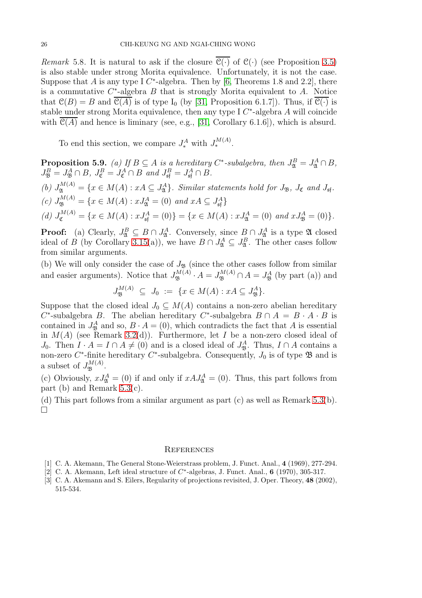*Remark* 5.8. It is natural to ask if the closure  $\overline{C(\cdot)}$  of  $C(\cdot)$  (see Proposition [3.5\)](#page-10-0) is also stable under strong Morita equivalence. Unfortunately, it is not the case. Suppose that A is any type I  $C^*$ -algebra. Then by [\[6,](#page-26-21) Theorems 1.8 and 2.2], there is a commutative  $C^*$ -algebra  $B$  that is strongly Morita equivalent to  $A$ . Notice that  $\mathcal{C}(B) = B$  and  $\overline{\mathcal{C}(A)}$  is of type I<sub>0</sub> (by [\[31,](#page-27-3) Proposition 6.1.7]). Thus, if  $\overline{\mathcal{C}(\cdot)}$  is stable under strong Morita equivalence, then any type I  $C^*$ -algebra A will coincide with  $\mathcal{C}(A)$  and hence is liminary (see, e.g., [\[31,](#page-27-3) Corollary 6.1.6]), which is absurd.

To end this section, we compare  $J_*^A$  with  $J_*^{M(A)}$ .

**Proposition 5.9.** *(a)* If  $B \subseteq A$  *is a hereditary*  $C^*$ -subalgebra, then  $J^B_{\mathfrak{A}} = J^A_{\mathfrak{A}} \cap B$ ,  $J_{\mathfrak{B}}^B = J_{\mathfrak{B}}^A \cap B$ ,  $J_{\mathfrak{C}}^B = J_{\mathfrak{C}}^A \cap B$  and  $J_{\mathfrak{sf}}^B = J_{\mathfrak{sf}}^A \cap B$ . (b)  $J_{\mathfrak{A}}^{M(A)} = \{x \in M(A) : xA \subseteq J_{\mathfrak{A}}^{A}\}\$ . Similar statements hold for  $J_{\mathfrak{B}}$ ,  $J_{\mathfrak{C}}$  and  $J_{\mathfrak{sf}}$ .  $(c)$   $J_{\mathfrak{B}}^{M(A)} = \{x \in M(A) : xJ_{\mathfrak{A}}^{A} = (0) \text{ and } xA \subseteq J_{\mathfrak{sp}}^{A}\}\$ (d)  $J_{\mathfrak{C}}^{M(A)} = \{x \in M(A) : xJ_{\mathfrak{s} \mathfrak{f}}^A = (0)\} = \{x \in M(A) : xJ_{\mathfrak{A}}^A = (0) \text{ and } xJ_{\mathfrak{B}}^A = (0)\}.$ 

**Proof:** (a) Clearly,  $J_{\mathfrak{A}}^B \subseteq B \cap J_{\mathfrak{A}}^A$ . Conversely, since  $B \cap J_{\mathfrak{A}}^A$  is a type  $\mathfrak{A}$  closed ideal of B (by Corollary [3.15\(](#page-14-1)a)), we have  $B \cap J^A_{\mathfrak{A}} \subseteq J^B_{\mathfrak{A}}$ . The other cases follow from similar arguments.

(b) We will only consider the case of  $J_{\mathfrak{B}}$  (since the other cases follow from similar and easier arguments). Notice that  $J_{\mathfrak{B}}^{M(A)} \cdot A = J_{\mathfrak{B}}^{M(A)} \cap A = J_{\mathfrak{B}}^{A}$  (by part (a)) and

 $J_{\mathfrak{B}}^{M(A)} \subseteq J_0 := \{ x \in M(A) : xA \subseteq J_{\mathfrak{B}}^A \}.$ 

Suppose that the closed ideal  $J_0 \subseteq M(A)$  contains a non-zero abelian hereditary  $C^*$ -subalgebra B. The abelian hereditary  $C^*$ -subalgebra  $B \cap A = B \cdot A \cdot B$  is contained in  $J_{\mathfrak{B}}^A$  and so,  $B \cdot A = (0)$ , which contradicts the fact that A is essential in  $M(A)$  (see Remark [3.2\(](#page-9-0)d)). Furthermore, let I be a non-zero closed ideal of J<sub>0</sub>. Then  $I \cdot A = I \cap A \neq (0)$  and is a closed ideal of  $J_{\mathfrak{B}}^A$ . Thus,  $I \cap A$  contains a non-zero  $C^*$ -finite hereditary  $C^*$ -subalgebra. Consequently,  $J_0$  is of type  $\mathfrak B$  and is a subset of  $J_{\mathfrak{B}}^{M(A)}$ .

(c) Obviously,  $xJ_{\mathfrak{A}}^A = (0)$  if and only if  $xAJ_{\mathfrak{A}}^A = (0)$ . Thus, this part follows from part (b) and Remark [5.3\(](#page-23-0)c).

(d) This part follows from a similar argument as part (c) as well as Remark [5.3\(](#page-23-0)b).  $\Box$ 

#### **REFERENCES**

- <span id="page-25-1"></span><span id="page-25-0"></span>[1] C. A. Akemann, The General Stone-Weierstrass problem, J. Funct. Anal., 4 (1969), 277-294.
- <span id="page-25-2"></span>[2] C. A. Akemann, Left ideal structure of  $C^*$ -algebras, J. Funct. Anal., 6 (1970), 305-317.
- [3] C. A. Akemann and S. Eilers, Regularity of projections revisited, J. Oper. Theory, 48 (2002), 515-534.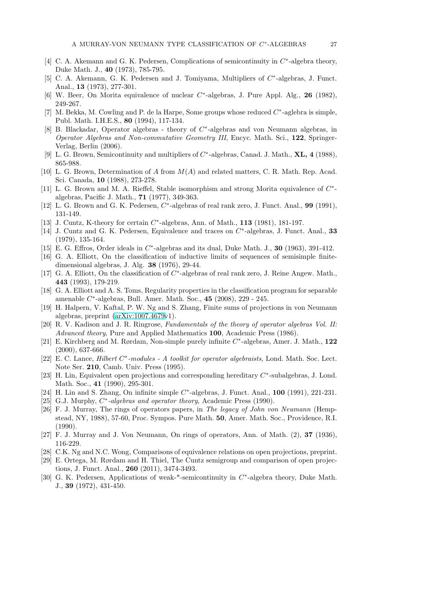- <span id="page-26-7"></span>[4] C. A. Akemann and G. K. Pedersen, Complications of semicontinuity in  $C^*$ -algebra theory, Duke Math. J., 40 (1973), 785-795.
- <span id="page-26-12"></span>[5] C. A. Akemann, G. K. Pedersen and J. Tomiyama, Multipliers of  $C^*$ -algebras, J. Funct. Anal., 13 (1973), 277-301.
- <span id="page-26-21"></span>[6] W. Beer, On Morita equivalence of nuclear  $C^*$ -algebras, J. Pure Appl. Alg., 26 (1982), 249-267.
- <span id="page-26-22"></span>[7] M. Bekka, M. Cowling and P. de la Harpe, Some groups whose reduced  $C^*$ -aglebra is simple, Publ. Math. I.H.E.S., 80 (1994), 117-134.
- <span id="page-26-18"></span>[8] B. Blackadar, Operator algebras - theory of  $C^*$ -algebras and von Neumann algebras, in *Operator Algebras and Non-commutative Geometry III*, Encyc. Math. Sci., 122, Springer-Verlag, Berlin (2006).
- <span id="page-26-13"></span><span id="page-26-8"></span>[9] L. G. Brown, Semicontinuity and multipliers of  $C^*$ -algebras, Canad. J. Math., **XL, 4** (1988), 865-988.
- [10] L. G. Brown, Determination of A from M(A) and related matters, C. R. Math. Rep. Acad. Sci. Canada, 10 (1988), 273-278.
- <span id="page-26-11"></span>[11] L. G. Brown and M. A. Rieffel, Stable isomorphism and strong Morita equivalence of  $C^*$ algebras, Pacific J. Math., 71 (1977), 349-363.
- <span id="page-26-20"></span>[12] L. G. Brown and G. K. Pedersen,  $C^*$ -algebras of real rank zero, J. Funct. Anal., 99 (1991), 131-149.
- <span id="page-26-17"></span><span id="page-26-3"></span>[13] J. Cuntz, K-theory for certain  $C^*$ -algebras, Ann. of Math., 113 (1981), 181-197.
- [14] J. Cuntz and G. K. Pedersen, Equivalence and traces on  $C^*$ -algebras, J. Funct. Anal., 33 (1979), 135-164.
- <span id="page-26-9"></span><span id="page-26-4"></span>[15] E. G. Effros, Order ideals in  $C^*$ -algebras and its dual, Duke Math. J., **30** (1963), 391-412.
- [16] G. A. Elliott, On the classification of inductive limits of sequences of semisimple finitedimensional algebras, J. Alg. 38 (1976), 29-44.
- <span id="page-26-6"></span>[17] G. A. Elliott, On the classification of  $C^*$ -algebras of real rank zero, J. Reine Angew. Math., 443 (1993), 179-219.
- <span id="page-26-5"></span>[18] G. A. Elliott and A. S. Toms, Regularity properties in the classification program for separable amenable C ∗ -algebras, Bull. Amer. Math. Soc., 45 (2008), 229 - 245.
- <span id="page-26-25"></span>[19] H. Halpern, V. Kaftal, P. W. Ng and S. Zhang, Finite sums of projections in von Neumann algebras, preprint [\(arXiv:1007.4679v](http://arxiv.org/abs/1007.4679)1).
- <span id="page-26-2"></span>[20] R. V. Kadison and J. R. Ringrose, *Fundamentals of the theory of operator algebras Vol. II: Advanced theory*, Pure and Applied Mathematics 100, Academic Press (1986).
- <span id="page-26-23"></span>[21] E. Kirchberg and M. Rørdam, Non-simple purely infinite  $C^*$ -algebras, Amer. J. Math., 122 (2000), 637-666.
- <span id="page-26-19"></span>[22] E. C. Lance, *Hilbert C<sup>∗</sup>-modules - A toolkit for operator algebraists*, Lond. Math. Soc. Lect. Note Ser. 210, Camb. Univ. Press (1995).
- <span id="page-26-14"></span>[23] H. Lin, Equivalent open projections and corresponding hereditary  $C^*$ -subalgebras, J. Lond. Math. Soc., 41 (1990), 295-301.
- <span id="page-26-24"></span>[24] H. Lin and S. Zhang, On infinite simple  $C^*$ -algebras, J. Funct. Anal., 100 (1991), 221-231.
- <span id="page-26-1"></span>[25] G.J. Murphy,  $C^*$ -algebras and operator theory, Academic Press (1990).
- [26] F. J. Murray, The rings of operators papers, in *The legacy of John von Neumann* (Hempstead, NY, 1988), 57-60, Proc. Sympos. Pure Math. 50, Amer. Math. Soc., Providence, R.I. (1990).
- <span id="page-26-16"></span><span id="page-26-0"></span>[27] F. J. Murray and J. Von Neumann, On rings of operators, Ann. of Math. (2), 37 (1936), 116-229.
- <span id="page-26-15"></span>[28] C.K. Ng and N.C. Wong, Comparisons of equivalence relations on open projections, preprint.
- [29] E. Ortega, M. Rørdam and H. Thiel, The Cuntz semigroup and comparison of open projections, J. Funct. Anal., 260 (2011), 3474-3493.
- <span id="page-26-10"></span>[30] G. K. Pedersen, Applications of weak-\*-semicontinuity in  $C^*$ -algebra theory, Duke Math. J., 39 (1972), 431-450.